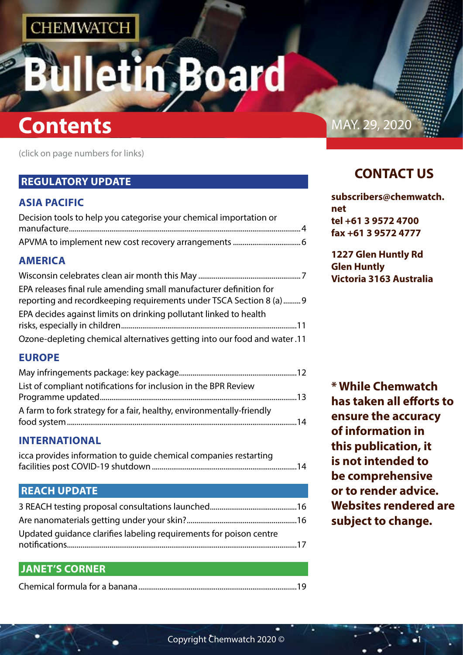# n Board

# **Contents** MAY. 29, 2020

(click on page numbers for links)

### **[REGULATORY UPDATE](#page-2-0)**

### **[ASIA PACIFIC](#page-2-0)**

| Decision tools to help you categorise your chemical importation or |  |
|--------------------------------------------------------------------|--|
|                                                                    |  |
|                                                                    |  |

### **[AMERICA](#page-3-0)**

| EPA releases final rule amending small manufacturer definition for<br>reporting and recordkeeping requirements under TSCA Section 8 (a)  9 |  |
|--------------------------------------------------------------------------------------------------------------------------------------------|--|
| EPA decides against limits on drinking pollutant linked to health                                                                          |  |
| Ozone-depleting chemical alternatives getting into our food and water.11                                                                   |  |

### **[EUROPE](#page-6-0)**

| List of compliant notifications for inclusion in the BPR Review       |  |
|-----------------------------------------------------------------------|--|
|                                                                       |  |
| A farm to fork strategy for a fair, healthy, environmentally-friendly |  |
|                                                                       |  |

### **[INTERNATIONAL](#page-7-0)**

| icca provides information to guide chemical companies restarting |  |
|------------------------------------------------------------------|--|
|                                                                  |  |

### **[REACH UPDATE](#page-8-0)**

| Updated guidance clarifies labeling requirements for poison centre |  |
|--------------------------------------------------------------------|--|
|                                                                    |  |

### **JANET'S CORNER**

|--|

## **CONTACT US**

**[subscribers@chemwatch.](mailto:subscribers@chemwatch.net) [net](mailto:subscribers@chemwatch.net) tel +61 3 9572 4700 fax +61 3 9572 4777**

**1227 Glen Huntly Rd Glen Huntly Victoria 3163 Australia**

**\* While Chemwatch has taken all efforts to ensure the accuracy of information in this publication, it is not intended to be comprehensive or to render advice. Websites rendered are subject to change.**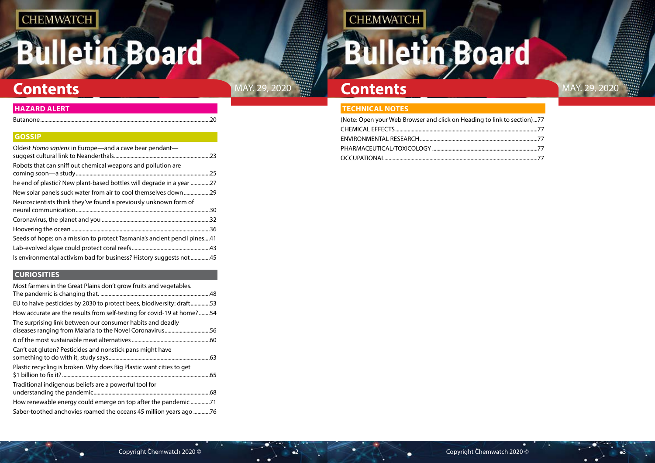# **Bulletin Board**

# **Contents** MAY. 29, 2020 **Contents** MAY. 29, 2020

| nk to section)77 |
|------------------|
| 77               |
| 77               |
| 77               |
| 77               |



### **[TECHNICAL NOTES](#page-38-0)**

| (Note: Open your Web Browser and click on Heading to link to section)77 |  |
|-------------------------------------------------------------------------|--|
|                                                                         |  |
|                                                                         |  |
|                                                                         |  |
|                                                                         |  |

| <b>HAZARD ALERT</b> |  |
|---------------------|--|
|                     |  |

#### **[GOSSIP](#page-11-0)**

| Oldest Homo sapiens in Europe—and a cave bear pendant—                   | .23 |
|--------------------------------------------------------------------------|-----|
| Robots that can sniff out chemical weapons and pollution are             |     |
|                                                                          | .25 |
| he end of plastic? New plant-based bottles will degrade in a year        | 27  |
|                                                                          | .29 |
| Neuroscientists think they've found a previously unknown form of         |     |
|                                                                          | .30 |
|                                                                          |     |
|                                                                          | .36 |
| Seeds of hope: on a mission to protect Tasmania's ancient pencil pines41 |     |
|                                                                          |     |
| Is environmental activism bad for business? History suggests not 45      |     |

### **[CURIOSITIES](#page-24-0)**

| Most farmers in the Great Plains don't grow fruits and vegetables.                                                     | 48  |
|------------------------------------------------------------------------------------------------------------------------|-----|
| EU to halve pesticides by 2030 to protect bees, biodiversity: draft53                                                  |     |
| How accurate are the results from self-testing for covid-19 at home?54                                                 |     |
| The surprising link between our consumer habits and deadly<br>diseases ranging from Malaria to the Novel Coronavirus56 |     |
|                                                                                                                        |     |
| Can't eat gluten? Pesticides and nonstick pans might have                                                              | .63 |
| Plastic recycling is broken. Why does Big Plastic want cities to get                                                   | .65 |
| Traditional indigenous beliefs are a powerful tool for                                                                 | 68  |
| How renewable energy could emerge on top after the pandemic 71                                                         |     |
| Saber-toothed anchovies roamed the oceans 45 million years ago 76                                                      |     |

# **CHEMWATCH Bulletin Board**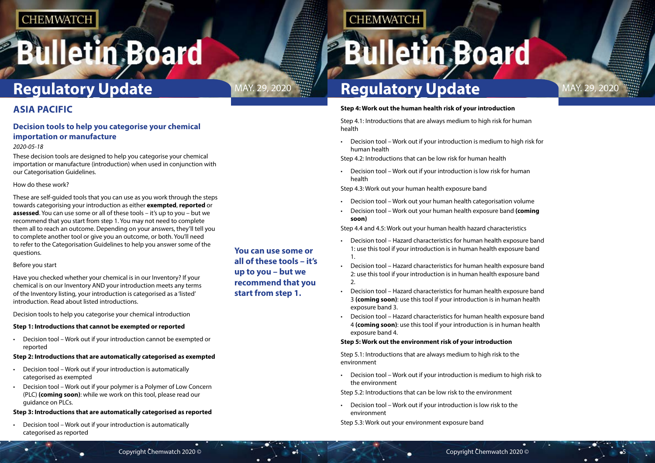# <span id="page-2-0"></span>**Bulletin Board**

### **You can use some or all of these tools – it's up to you – but we recommend that you start from step 1.**

# MAY. 29, 2020 **May. Regulatory Update** MAY. 29, 2020

**CHEMWATCH** 

#### **Step 4: Work out the human health risk of your introduction**

Step 4.1: Introductions that are always medium to high risk for human health

• [Decision tool – Work out if your introduction is medium to high risk for](https://www.nicnas.gov.au/media/components/decision-trees/decision-tool-work-out-if-your-introduction-is-medium-to-high-risk-for-human-health)  [human health](https://www.nicnas.gov.au/media/components/decision-trees/decision-tool-work-out-if-your-introduction-is-medium-to-high-risk-for-human-health)

Step 4.2: Introductions that can be low risk for human health

• [Decision tool – Work out if your introduction is low risk for human](https://www.nicnas.gov.au/media/components/decision-trees/decision-tool-work-out-if-your-introduction-is-low-risk-for-human-health)  [health](https://www.nicnas.gov.au/media/components/decision-trees/decision-tool-work-out-if-your-introduction-is-low-risk-for-human-health)

Step 4.3: Work out your human health exposure band

- [Decision tool Work out your human health categorisation volume](https://www.nicnas.gov.au/media/components/decision-trees/decision-tool-work-out-your-human-health-categorisation-volume)
- Decision tool Work out your human health exposure band **(coming soon)**

Step 4.4 and 4.5: Work out your human health hazard characteristics

- [Decision tool Hazard characteristics for human health exposure band](https://www.nicnas.gov.au/media/components/decision-trees/decision-tool-hazard-characteristics-for-human-health-exposure-band-1)  [1](https://www.nicnas.gov.au/media/components/decision-trees/decision-tool-hazard-characteristics-for-human-health-exposure-band-1): use this tool if your introduction is in human health exposure band 1.
- [Decision tool Hazard characteristics for human health exposure band](https://www.nicnas.gov.au/media/components/decision-trees/decision-tool-hazard-characteristics-for-human-health-exposure-band-2)  [2](https://www.nicnas.gov.au/media/components/decision-trees/decision-tool-hazard-characteristics-for-human-health-exposure-band-2): use this tool if your introduction is in human health exposure band 2.
- Decision tool Hazard characteristics for human health exposure band 3 **(coming soon)**: use this tool if your introduction is in human health exposure band 3.
- Decision tool Hazard characteristics for human health exposure band 4 **(coming soon)**: use this tool if your introduction is in human health exposure band 4.

#### **Step 5: Work out the environment risk of your introduction**

Step 5.1: Introductions that are always medium to high risk to the environment

• [Decision tool – Work out if your introduction is medium to high risk to](https://www.nicnas.gov.au/media/components/decision-trees/decision-tool-work-out-if-your-introduction-is-medium-to-high-risk-to-the-environment)  [the environment](https://www.nicnas.gov.au/media/components/decision-trees/decision-tool-work-out-if-your-introduction-is-medium-to-high-risk-to-the-environment)

Step 5.2: Introductions that can be low risk to the environment

• [Decision tool – Work out if your introduction is low risk to the](https://www.nicnas.gov.au/media/components/decision-trees/decision-tool-work-out-if-your-introduction-is-low-risk-to-the-environment)  [environment](https://www.nicnas.gov.au/media/components/decision-trees/decision-tool-work-out-if-your-introduction-is-low-risk-to-the-environment)

Step 5.3: Work out your environment exposure band



- 
- 
- 
- 

- 
- 

### **ASIA PACIFIC**

### **Decision tools to help you categorise your chemical importation or manufacture**

#### *2020-05-18*

These decision tools are designed to help you categorise your chemical importation or manufacture (introduction) when used in conjunction with our Categorisation Guidelines.

#### How do these work?

These are self-guided tools that you can use as you work through the steps towards categorising your introduction as either **exempted**, **reported** or **assessed**. You can use some or all of these tools – it's up to you – but we recommend that you start from step 1. You may not need to complete them all to reach an outcome. Depending on your answers, they'll tell you to complete another tool or give you an outcome, or both. You'll need to refer to the [Categorisation Guidelines](https://www.nicnas.gov.au/New-scheme-1-July-2020/Key-information-about-the-new-scheme) to help you answer some of the questions.

#### Before you start

Have you checked whether your chemical is in our Inventory? If your chemical is on our Inventory AND your introduction meets any terms of the Inventory listing, your introduction is categorised as a 'listed' introduction. [Read about listed introductions.](https://www.nicnas.gov.au/New-scheme-1-July-2020/overview-of-AICIS)

Decision tools to help you categorise your chemical introduction

#### **Step 1: Introductions that cannot be exempted or reported**

• [Decision tool – Work out if your introduction cannot be exempted or](https://www.nicnas.gov.au/media/components/decision-trees/decision-tool-work-out-if-your-introduction-cannot-be-exempted-or-reported)  [reported](https://www.nicnas.gov.au/media/components/decision-trees/decision-tool-work-out-if-your-introduction-cannot-be-exempted-or-reported)

#### **Step 2: Introductions that are automatically categorised as exempted**

- [Decision tool Work out if your introduction is automatically](https://www.nicnas.gov.au/media/components/decision-trees/decision-tool-work-out-if-your-introduction-is-automatically-categorised-as-exempted)  [categorised as exempted](https://www.nicnas.gov.au/media/components/decision-trees/decision-tool-work-out-if-your-introduction-is-automatically-categorised-as-exempted)
- Decision tool Work out if your polymer is a Polymer of Low Concern (PLC) **(coming soon)**: while we work on this tool, please read our [guidance on PLCs](https://www.nicnas.gov.au/media/components/landing-tiles/categorise-your-chemical-introduction/polymer-of-low-concern-plc-criteria).

### **Step 3: Introductions that are automatically categorised as reported**

• [Decision tool – Work out if your introduction is automatically](https://www.nicnas.gov.au/media/components/decision-trees/decision-tool-work-out-if-your-introduction-is-automatically-categorised-as-reported)  [categorised as reported](https://www.nicnas.gov.au/media/components/decision-trees/decision-tool-work-out-if-your-introduction-is-automatically-categorised-as-reported)

# **Regulatory Update**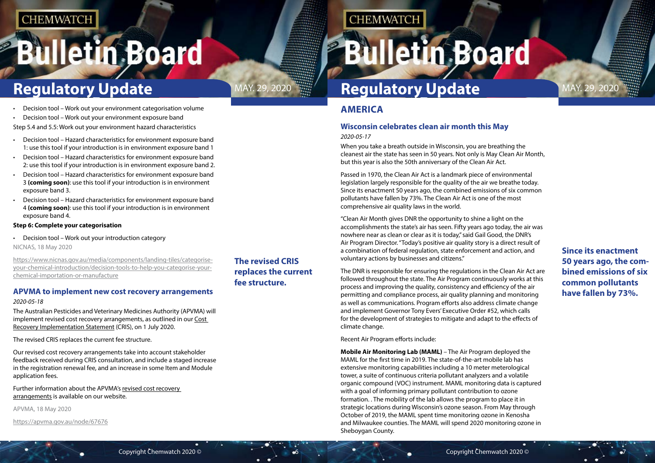# <span id="page-3-0"></span>**Bulletin Board**

# **Regulatory Update**



**Since its enactment 50 years ago, the combined emissions of six common pollutants have fallen by 73%.**

### **The revised CRIS replaces the current fee structure.**

### **AMERICA**

**CHEMWATCH** 

#### **Wisconsin celebrates clean air month this May** *2020-05-17*

When you take a breath outside in Wisconsin, you are breathing the cleanest air the state has seen in 50 years. Not only is May Clean Air Month, but this year is also the 50th anniversary of the Clean Air Act.

Passed in 1970, the Clean Air Act is a landmark piece of environmental legislation largely responsible for the quality of the air we breathe today. Since its enactment 50 years ago, the combined emissions of six common pollutants have fallen by 73%. The Clean Air Act is one of the most comprehensive air quality laws in the world.

"Clean Air Month gives DNR the opportunity to shine a light on the accomplishments the state's air has seen. Fifty years ago today, the air was nowhere near as clean or clear as it is today," said Gail Good, the DNR's Air Program Director. "Today's positive air quality story is a direct result of a combination of federal regulation, state enforcement and action, and voluntary actions by businesses and citizens."

The DNR is responsible for ensuring the regulations in the Clean Air Act are followed throughout the state. The Air Program continuously works at this process and improving the quality, consistency and efficiency of the air permitting and compliance process, air quality planning and monitoring as well as communications. Program efforts also address climate change and implement Governor Tony Evers' Executive Order #52, which calls for the development of strategies to mitigate and adapt to the effects of climate change.

Recent Air Program efforts include:

**Mobile Air Monitoring Lab (MAML)** – The Air Program deployed the MAML for the first time in 2019. The state-of-the-art mobile lab has extensive monitoring capabilities including a 10 meter meterological tower, a suite of continuous criteria pollutant analyzers and a volatile organic compound (VOC) instrument. MAML monitoring data is captured with a goal of informing primary pollutant contribution to ozone formation. . The mobility of the lab allows the program to place it in strategic locations during Wisconsin's ozone season. From May through October of 2019, the MAML spent time monitoring ozone in Kenosha and Milwaukee counties. The MAML will spend 2020 monitoring ozone in Sheboygan County.

- [Decision tool Work out your environment categorisation volume](https://www.nicnas.gov.au/media/components/decision-trees/decision-tool-work-out-your-environment-categorisation-volume)
- [Decision tool Work out your environment exposure band](https://www.nicnas.gov.au/media/components/decision-trees/decision-tool-work-out-your-environment-exposure-band)

Step 5.4 and 5.5: Work out your environment hazard characteristics

- [Decision tool Hazard characteristics for environment exposure band](https://www.nicnas.gov.au/media/components/decision-trees/decision-tool-hazard-characteristics-for-environment-exposure-band-1)  [1](https://www.nicnas.gov.au/media/components/decision-trees/decision-tool-hazard-characteristics-for-environment-exposure-band-1): use this tool if your introduction is in environment exposure band 1
- [Decision tool Hazard characteristics for environment exposure band](https://www.nicnas.gov.au/media/components/decision-trees/decision-tool-hazard-characteristics-for-environment-exposure-band-2)  [2](https://www.nicnas.gov.au/media/components/decision-trees/decision-tool-hazard-characteristics-for-environment-exposure-band-2): use this tool if your introduction is in environment exposure band 2.
- Decision tool Hazard characteristics for environment exposure band 3 **(coming soon)**: use this tool if your introduction is in environment exposure band 3.
- Decision tool Hazard characteristics for environment exposure band 4 **(coming soon)**: use this tool if your introduction is in environment exposure band 4.

#### **Step 6: Complete your categorisation**

• [Decision tool – Work out your introduction category](https://www.nicnas.gov.au/media/components/decision-trees/decision-tool-work-out-your-introduction-category)

NICNAS, 18 May 2020

https://www.nicnas.gov.au/media/components/landing-tiles/categoriseyour-chemical-introduction/decision-tools-to-help-you-categorise-yourchemical-importation-or-manufacture

### **APVMA to implement new cost recovery arrangements**

#### *2020-05-18*

The Australian Pesticides and Veterinary Medicines Authority (APVMA) will implement revised cost recovery arrangements, as outlined in our Cost [Recovery Implementation Statement](https://apvma.gov.au/node/67671) (CRIS), on 1 July 2020.

The revised CRIS replaces the current fee structure.

Our revised cost recovery arrangements take into account stakeholder feedback received during CRIS consultation, and include a staged increase in the registration renewal fee, and an increase in some Item and Module application fees.

Further information about the APVMA's [revised cost recovery](https://apvma.gov.au/node/4161)  [arrangements](https://apvma.gov.au/node/4161) is available on our website.

APVMA, 18 May 2020

<https://apvma.gov.au/node/67676>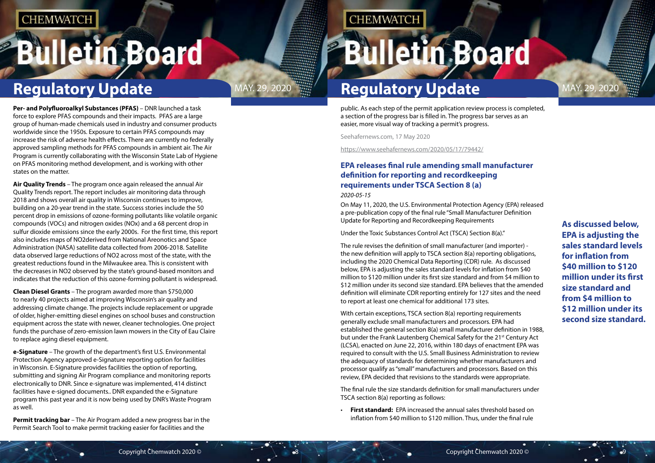# <span id="page-4-0"></span>**Bulletin Board**

# **Regulatory Update**



**As discussed below, EPA is adjusting the sales standard levels for inflation from \$40 million to \$120 million under its first size standard and from \$4 million to \$12 million under its second size standard.**

public. As each step of the permit application review process is completed, a section of the progress bar is filled in. The progress bar serves as an easier, more visual way of tracking a permit's progress.

Seehafernews.com, 17 May 2020

<https://www.seehafernews.com/2020/05/17/79442/>

### **EPA releases final rule amending small manufacturer definition for reporting and recordkeeping requirements under TSCA Section 8 (a)**

*2020-05-15*

On May 11, 2020, the U.S. Environmental Protection Agency (EPA) released a [pre-publication copy](https://www.epa.gov/sites/production/files/2020-05/documents/prepubcopy_10008-14_fr_doc_aa_esignverified.pdf) of the final rule "Small Manufacturer Definition Update for Reporting and Recordkeeping Requirements

Under the Toxic Substances Control Act (TSCA) Section 8(a)."

The rule revises the definition of small manufacturer (and importer) the new definition will apply to TSCA section 8(a) reporting obligations, including the [2020 Chemical Data Reporting](https://www.regulations.gov/document?D=EPA-HQ-OPPT-2018-0321-0118) (CDR) rule. As discussed below, EPA is adjusting the sales standard levels for inflation from \$40 million to \$120 million under its first size standard and from \$4 million to \$12 million under its second size standard. EPA believes that the amended definition will eliminate CDR reporting entirely for 127 sites and the need to report at least one chemical for additional 173 sites.

With certain exceptions, TSCA section 8(a) reporting requirements generally exclude small manufacturers and processors. EPA had established the general section 8(a) small manufacturer definition in 1988, but under the Frank Lautenberg Chemical Safety for the 21<sup>st</sup> Century Act (LCSA), enacted on June 22, 2016, within 180 days of enactment EPA was required to consult with the U.S. Small Business Administration to review the adequacy of standards for determining whether manufacturers and processor qualify as "small" manufacturers and processors. Based on this review, EPA decided that revisions to the standards were appropriate.

The final rule the size standards definition for small manufacturers under TSCA section 8(a) reporting as follows:

• **First standard:** EPA increased the annual sales threshold based on inflation from \$40 million to \$120 million. Thus, under the final rule

**Per- and Polyfluoroalkyl Substances (PFAS)** – DNR launched a task force to explore PFAS compounds and their impacts. PFAS are a large group of human-made chemicals used in industry and consumer products worldwide since the 1950s. Exposure to certain PFAS compounds may increase the risk of adverse health effects. There are currently no federally approved sampling methods for PFAS compounds in ambient air. The Air Program is currently collaborating with the Wisconsin State Lab of Hygiene on PFAS monitoring method development, and is working with other states on the matter.

**Air Quality Trends** – The program once again released the annual Air Quality Trends report. The report includes air monitoring data through 2018 and shows overall air quality in Wisconsin continues to improve, building on a 20-year trend in the state. Success stories include the 50 percent drop in emissions of ozone-forming pollutants like volatile organic compounds (VOCs) and nitrogen oxides (NOx) and a 68 percent drop in sulfur dioxide emissions since the early 2000s. For the first time, this report also includes maps of NO2derived from National Areonotics and Space Administration (NASA) satellite data collected from 2006-2018. Satellite data observed large reductions of NO2 across most of the state, with the greatest reductions found in the Milwaukee area. This is consistent with the decreases in NO2 observed by the state's ground-based monitors and indicates that the reduction of this ozone-forming pollutant is widespread.

**Clean Diesel Grants** – The program awarded more than \$750,000 to nearly 40 projects aimed at improving Wisconsin's air quality and addressing climate change. The projects include replacement or upgrade of older, higher-emitting diesel engines on school buses and construction equipment across the state with newer, cleaner technologies. One project funds the purchase of zero-emission lawn mowers in the City of Eau Claire to replace aging diesel equipment.

**e-Signature** – The growth of the department's first U.S. Environmental Protection Agency approved e-Signature reporting option for facilities in Wisconsin. E-Signature provides facilities the option of reporting, submitting and signing Air Program compliance and monitoring reports electronically to DNR. Since e-signature was implemented, 414 distinct facilities have e-signed documents.. DNR expanded the e-Signature program this past year and it is now being used by DNR's Waste Program as well.

**Permit tracking bar** – The Air Program added a new progress bar in the Permit Search Tool to make permit tracking easier for facilities and the

## **CHEMWATCH**

# **Bulletin Board**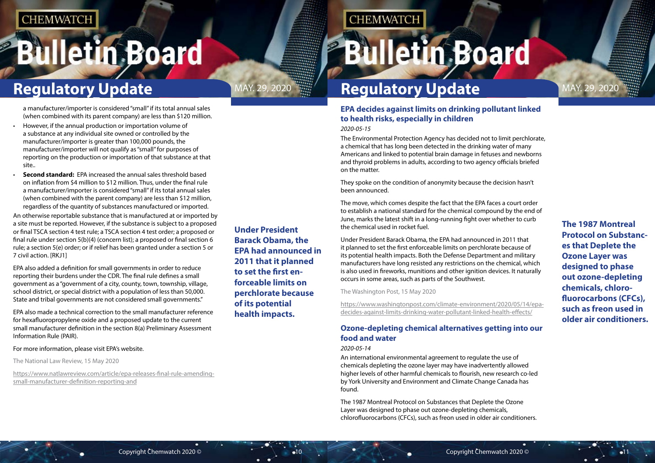# <span id="page-5-0"></span>**Bulletin Board**



**The 1987 Montreal Protocol on Substances that Deplete the Ozone Layer was designed to phase out ozone-depleting chemicals, chlorofluorocarbons (CFCs), such as freon used in older air conditioners.**

**Under President Barack Obama, the EPA had announced in 2011 that it planned to set the first enforceable limits on perchlorate because of its potential health impacts.**

## **CHEMWATCH**

# **Bulletin Board**

# **Regulatory Update Regulatory Update**

# **EPA decides against limits on drinking pollutant linked**

## **to health risks, especially in children**

#### *2020-05-15*

The Environmental Protection Agency has decided not to limit [perchlorate,](https://www.washingtonpost.com/news/energy-environment/wp/2016/08/09/researchers-find-unsafe-levels-of-industrial-chemicals-in-drinking-water-of-6-million-americans/?tid=lk_inline_manual_2&itid=lk_inline_manual_2) a chemical that has long been detected in the drinking water of many Americans and linked to potential brain damage in fetuses and newborns and thyroid problems in adults, according to two agency officials briefed on the matter.

They spoke on the condition of anonymity because the decision hasn't been announced.

The move, which comes despite the fact that the EPA faces a court order to establish a national standard for the chemical compound by the end of June, marks the latest shift in a long-running fight over whether to curb the chemical used in rocket fuel.

Under President Barack Obama, the EPA had announced in 2011 that it planned to set the first enforceable limits on perchlorate because of its potential health impacts. Both the Defense Department and military manufacturers have long resisted any restrictions on the chemical, which is also used in fireworks, munitions and other ignition devices. It naturally occurs in some areas, such as parts of the Southwest.

The Washington Post, 15 May 2020

[https://www.washingtonpost.com/climate-environment/2020/05/14/epa](https://www.washingtonpost.com/climate-environment/2020/05/14/epa-decides-against-limits-drinking-water-pollutant-linked-health-effects/)[decides-against-limits-drinking-water-pollutant-linked-health-effects/](https://www.washingtonpost.com/climate-environment/2020/05/14/epa-decides-against-limits-drinking-water-pollutant-linked-health-effects/)

### **Ozone-depleting chemical alternatives getting into our food and water**

#### *2020-05-14*

An international environmental agreement to regulate the use of chemicals depleting the ozone layer may have inadvertently allowed higher levels of other harmful chemicals to flourish, new research co-led by York University and Environment and Climate Change Canada has found.

The 1987 Montreal Protocol on Substances that Deplete the Ozone Layer was designed to phase out ozone-depleting chemicals, chlorofluorocarbons (CFCs), such as freon used in older air conditioners.

a manufacturer/importer is considered "small" if its total annual sales (when combined with its parent company) are less than \$120 million.

- However, if the annual production or importation volume of a substance at any individual site owned or controlled by the manufacturer/importer is greater than 100,000 pounds, the manufacturer/importer will not qualify as "small" for purposes of reporting on the production or importation of that substance at that site..
- **Second standard:** EPA increased the annual sales threshold based on inflation from \$4 million to \$12 million. Thus, under the final rule a manufacturer/importer is considered "small" if its total annual sales (when combined with the parent company) are less than \$12 million, regardless of the quantity of substances manufactured or imported.

An otherwise reportable substance that is manufactured at or imported by a site must be reported. However, if the substance is subject to a proposed or final TSCA section 4 test rule; a TSCA section 4 test order; a proposed or final rule under section 5(b)(4) (concern list); a proposed or final section 6 rule; a section 5(e) order; or if relief has been granted under a section 5 or 7 civil action. [RKJ1]

EPA also added a definition for small governments in order to reduce reporting their burdens under the CDR. The final rule defines a small government as a "government of a city, county, town, township, village, school district, or special district with a population of less than 50,000. State and tribal governments are not considered small governments."

EPA also made a technical correction to the small manufacturer reference for hexafluoropropylene oxide and a proposed update to the current small manufacturer definition in the section 8(a) Preliminary Assessment Information Rule (PAIR).

For more information, please visit [EPA's website.](https://www.epa.gov/chemical-data-reporting/prepublication-version-final-rule-tsca-chemical-data-reporting-revisions-and)

The National Law Review, 15 May 2020

[https://www.natlawreview.com/article/epa-releases-final-rule-amending](https://www.natlawreview.com/article/epa-releases-final-rule-amending-small-manufacturer-definition-reporting-and)[small-manufacturer-definition-reporting-and](https://www.natlawreview.com/article/epa-releases-final-rule-amending-small-manufacturer-definition-reporting-and)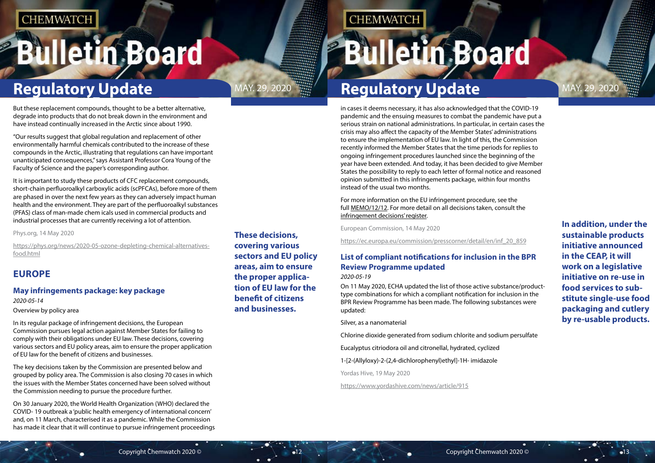# <span id="page-6-0"></span>**Bulletin Board**

**In addition, under the sustainable products initiative announced in the CEAP, it will work on a legislative initiative on re-use in food services to substitute single-use food packaging and cutlery by re-usable products.**

### **These decisions, covering various sectors and EU policy areas, aim to ensure the proper application of EU law for the benefit of citizens and businesses.**

## **CHEMWATCH**

# **Bulletin Board**

MAY. 29, 2020 **May. 29, 2020** Regulatory Update

# **Regulatory Update Regulatory Update**

in cases it deems necessary, it has also acknowledged that the COVID-19 pandemic and the ensuing measures to combat the pandemic have put a serious strain on national administrations. In particular, in certain cases the crisis may also affect the capacity of the Member States' administrations to ensure the implementation of EU law. In light of this, the Commission recently informed the Member States that the time periods for replies to ongoing infringement procedures launched since the beginning of the year have been extended. And today, it has been decided to give Member States the possibility to reply to each letter of formal notice and reasoned opinion submitted in this infringements package, within four months instead of the usual two months.

For more information on the EU infringement procedure, see the full [MEMO/12/12.](https://ec.europa.eu/commission/presscorner/detail/en/MEMO_12_12) For more detail on all decisions taken, consult the [infringement decisions' register](http://ec.europa.eu/atwork/applying-eu-law/infringements-proceedings/infringement_decisions/?lang_code=en).

European Commission, 14 May 2020

[https://ec.europa.eu/commission/presscorner/detail/en/inf\\_20\\_859](https://ec.europa.eu/commission/presscorner/detail/en/inf_20_859)

### **List of compliant notifications for inclusion in the BPR Review Programme updated**

*2020-05-19*

On 11 May 2020, ECHA updated the list of those active substance/producttype combinations for which a compliant notification for inclusion in the BPR Review Programme has been made. The following substances were updated:

Silver, as a nanomaterial

Chlorine dioxide generated from sodium chlorite and sodium persulfate

Eucalyptus citriodora oil and citronellal, hydrated, cyclized

1-[2-(Allyloxy)-2-(2,4-dichlorophenyl)ethyl]-1H- imidazole

Yordas Hive, 19 May 2020

<https://www.yordashive.com/news/article/915>



But these replacement compounds, thought to be a better alternative, degrade into products that do not break down in the environment and have instead continually increased in the Arctic since about 1990.

"Our results suggest that global regulation and replacement of other environmentally harmful chemicals contributed to the increase of these compounds in the Arctic, illustrating that regulations can have important unanticipated consequences," says Assistant Professor Cora Young of the Faculty of Science and the paper's corresponding author.

It is important to study these products of CFC replacement compounds, short-chain perfluoroalkyl carboxylic acids (scPFCAs), before more of them are phased in over the next few years as they can adversely impact human health and the environment. They are part of the perfluoroalkyl substances (PFAS) class of man-made chem icals used in commercial products and industrial processes that are currently receiving a lot of attention.

Phys.org, 14 May 2020

[https://phys.org/news/2020-05-ozone-depleting-chemical-alternatives](https://phys.org/news/2020-05-ozone-depleting-chemical-alternatives-food.html)[food.html](https://phys.org/news/2020-05-ozone-depleting-chemical-alternatives-food.html)

### **EUROPE**

#### **May infringements package: key package**

*2020-05-14* Overview by policy area

In its regular package of infringement decisions, the European Commission pursues legal action against Member States for failing to comply with their obligations under EU law. These decisions, covering various sectors and EU policy areas, aim to ensure the proper application of EU law for the benefit of citizens and businesses.

The key decisions taken by the Commission are presented below and grouped by policy area. The Commission is also closing 70 cases in which the issues with the Member States concerned have been solved without the Commission needing to pursue the procedure further.

On 30 January 2020, the World Health Organization (WHO) declared the COVID- 19 outbreak a 'public health emergency of international concern' and, on 11 March, characterised it as a pandemic. While the Commission has made it clear that it will continue to pursue infringement proceedings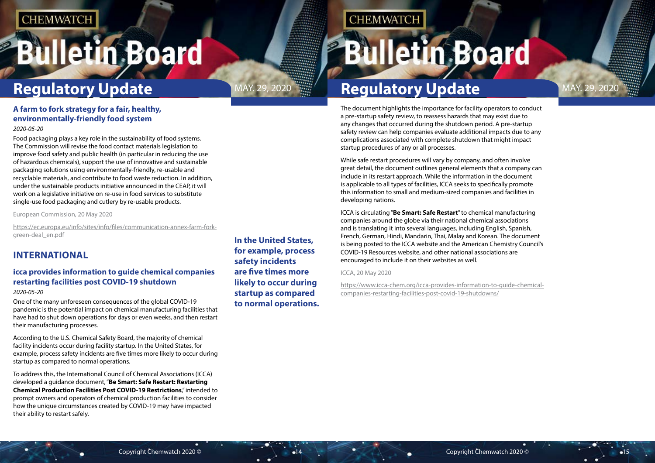# <span id="page-7-0"></span>**Bulletin Board**

**In the United States, for example, process safety incidents are five times more likely to occur during startup as compared to normal operations.**

## **CHEMWATCH**

# **Bulletin Board**

# MAY. 29, 2020 **May. Regulatory Update** MAY. 29, 2020

# **Regulatory Update Regulatory Update**

The document highlights the importance for facility operators to conduct a pre-startup safety review, to reassess hazards that may exist due to any changes that occurred during the shutdown period. A pre-startup safety review can help companies evaluate additional impacts due to any complications associated with complete shutdown that might impact startup procedures of any or all processes.

While safe restart procedures will vary by company, and often involve great detail, the document outlines general elements that a company can include in its restart approach. While the information in the document is applicable to all types of facilities, ICCA seeks to specifically promote this information to small and medium-sized companies and facilities in developing nations.

ICCA is circulating "**Be Smart: Safe Restart**" to chemical manufacturing companies around the globe via their national chemical associations and is translating it into several languages, including English, Spanish, French, German, Hindi, Mandarin, Thai, Malay and Korean. The document is being posted to the ICCA website and the American Chemistry Council's COVID-19 Resources website, and other national associations are encouraged to include it on their websites as well.

ICCA, 20 May 2020

[https://www.icca-chem.org/icca-provides-information-to-guide-chemical](https://www.icca-chem.org/icca-provides-information-to-guide-chemical-companies-restarting-facilities-post-covid-19-shutdowns/)[companies-restarting-facilities-post-covid-19-shutdowns/](https://www.icca-chem.org/icca-provides-information-to-guide-chemical-companies-restarting-facilities-post-covid-19-shutdowns/)





### **A farm to fork strategy for a fair, healthy, environmentally-friendly food system**

*2020-05-20*

Food packaging plays a key role in the sustainability of food systems. The Commission will revise the food contact materials legislation to improve food safety and public health (in particular in reducing the use of hazardous chemicals), support the use of innovative and sustainable packaging solutions using environmentally-friendly, re-usable and recyclable materials, and contribute to food waste reduction. In addition, under the sustainable products initiative announced in the CEAP, it will work on a legislative initiative on re-use in food services to substitute single-use food packaging and cutlery by re-usable products.

European Commission, 20 May 2020

[https://ec.europa.eu/info/sites/info/files/communication-annex-farm-fork](https://ec.europa.eu/info/sites/info/files/communication-annex-farm-fork-green-deal_en.pdf)[green-deal\\_en.pdf](https://ec.europa.eu/info/sites/info/files/communication-annex-farm-fork-green-deal_en.pdf)

## **INTERNATIONAL**

### **icca provides information to guide chemical companies restarting facilities post COVID-19 shutdown**

*2020-05-20*

One of the many unforeseen consequences of the global COVID-19 pandemic is the potential impact on chemical manufacturing facilities that have had to shut down operations for days or even weeks, and then restart their manufacturing processes.

According to the [U.S. Chemical Safety Board,](https://www.csb.gov/assets/1/6/csb_digest_-_startup_shutdown.pdf) the majority of chemical facility incidents occur during facility startup. In the United States, for example, process safety incidents are five times more likely to occur during startup as compared to normal operations.

To address this, the International Council of Chemical Associations (ICCA) developed a guidance document, "**[Be Smart: Safe Restart: Restarting](https://www.americanchemistry.com/Be-Smart-Safe-Restart.pdf)  [Chemical Production Facilities Post COVID-19 Restrictions](https://www.americanchemistry.com/Be-Smart-Safe-Restart.pdf)**," intended to prompt owners and operators of chemical production facilities to consider how the unique circumstances created by COVID-19 may have impacted their ability to restart safely.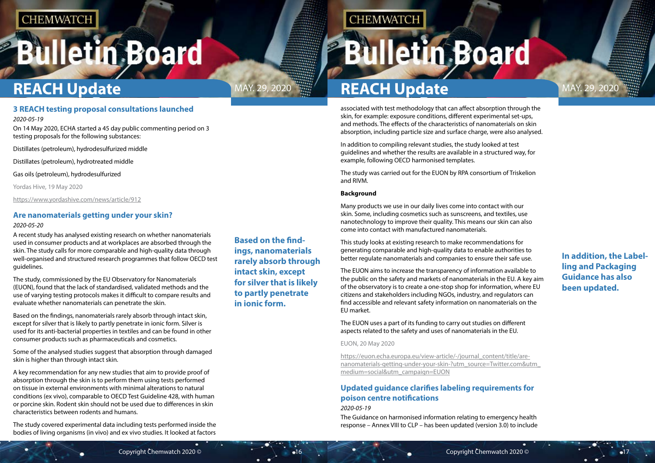# <span id="page-8-0"></span>**Bulletin Board**

**In addition, the Labelling and Packaging Guidance has also been updated.**



### **Based on the findings, nanomaterials rarely absorb through intact skin, except for silver that is likely to partly penetrate in ionic form.**

**CHEMWATCH** 

associated with test methodology that can affect absorption through the skin, for example: exposure conditions, different experimental set-ups, and methods. The effects of the characteristics of nanomaterials on skin absorption, including particle size and surface charge, were also analysed.

In addition to compiling relevant studies, the study looked at test guidelines and whether the results are available in a structured way, for example, following OECD harmonised templates.

The study was carried out for the EUON by RPA consortium of Triskelion and RIVM.

#### **Background**

Many products we use in our daily lives come into contact with our skin. Some, including cosmetics such as sunscreens, and textiles, use nanotechnology to improve their quality. This means our skin can also come into contact with manufactured nanomaterials.

This study looks at existing research to make recommendations for generating comparable and high-quality data to enable authorities to better regulate nanomaterials and companies to ensure their safe use.

The EUON aims to increase the transparency of information available to the public on the safety and markets of nanomaterials in the EU. A key aim of the observatory is to create a one-stop shop for information, where EU citizens and stakeholders including NGOs, industry, and regulators can find accessible and relevant safety information on nanomaterials on the EU market.

The EUON uses a part of its funding to carry out studies on different aspects related to the safety and uses of nanomaterials in the EU.

EUON, 20 May 2020

[https://euon.echa.europa.eu/view-article/-/journal\\_content/title/are](https://euon.echa.europa.eu/view-article/-/journal_content/title/are-nanomaterials-getting-under-your-skin-?utm_source=Twitter.com&utm_medium=social&utm_campaign=EUON)[nanomaterials-getting-under-your-skin-?utm\\_source=Twitter.com&utm\\_](https://euon.echa.europa.eu/view-article/-/journal_content/title/are-nanomaterials-getting-under-your-skin-?utm_source=Twitter.com&utm_medium=social&utm_campaign=EUON) [medium=social&utm\\_campaign=EUON](https://euon.echa.europa.eu/view-article/-/journal_content/title/are-nanomaterials-getting-under-your-skin-?utm_source=Twitter.com&utm_medium=social&utm_campaign=EUON)

### **Updated guidance clarifies labeling requirements for poison centre notifications**

*2020-05-19*

The Guidance on harmonised information relating to emergency health response – Annex VIII to CLP – has been updated (version 3.0) to include

### **3 REACH testing proposal consultations launched**

*2020-05-19*

On 14 May 2020, ECHA started a 45 day public commenting period on 3 testing proposals for the following substances:

Distillates (petroleum), hydrodesulfurized middle

Distillates (petroleum), hydrotreated middle

Gas oils (petroleum), hydrodesulfurized

Yordas Hive, 19 May 2020

<https://www.yordashive.com/news/article/912>

#### **Are nanomaterials getting under your skin?**

#### *2020-05-20*

A recent study has analysed existing research on whether nanomaterials used in consumer products and at workplaces are absorbed through the skin. The study calls for more comparable and high-quality data through well-organised and structured research programmes that follow OECD test guidelines.

The study, commissioned by the EU Observatory for Nanomaterials (EUON), found that the lack of standardised, validated methods and the use of varying testing protocols makes it difficult to compare results and evaluate whether nanomaterials can penetrate the skin.

Based on the findings, nanomaterials rarely absorb through intact skin, except for silver that is likely to partly penetrate in ionic form. Silver is used for its anti-bacterial properties in textiles and can be found in other consumer products such as pharmaceuticals and cosmetics.

Some of the analysed studies suggest that absorption through damaged skin is higher than through intact skin.

A key recommendation for any new studies that aim to provide proof of absorption through the skin is to perform them using tests performed on tissue in external environments with minimal alterations to natural conditions (ex vivo), comparable to OECD Test Guideline 428, with human or porcine skin. Rodent skin should not be used due to differences in skin characteristics between rodents and humans.

The study covered experimental data including tests performed inside the bodies of living organisms (in vivo) and ex vivo studies. It looked at factors

# **REACH Update**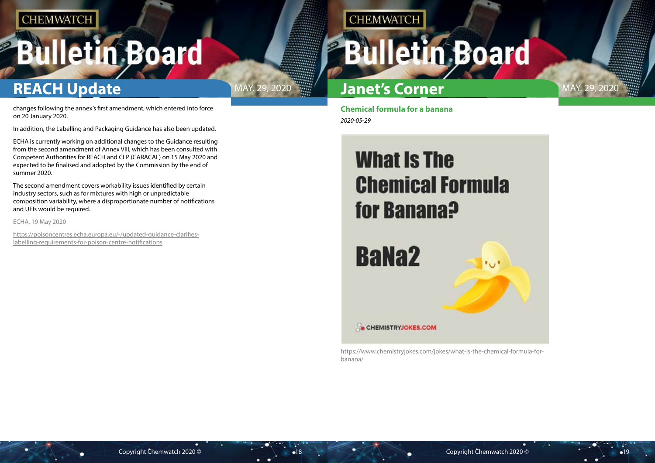# <span id="page-9-0"></span>**Bulletin Board**

# **REACH Update** MAY. 29, 2020







https://www.chemistryjokes.com/jokes/what-is-the-chemical-formula-forbanana/

**Chemical formula for a banana** *2020-05-29*

# **What Is The Chemical Formula** for Banana?

**BaNa2** 



# **Janet's Corner**

**CHEMWATCH** 

changes following the annex's first amendment, which entered into force on 20 January 2020.

The second amendment covers workability issues identified by certain industry sectors, such as for mixtures with high or unpredictable composition variability, where a disproportionate number of notifications and UFIs would be required.

In addition, the Labelling and Packaging Guidance has also been updated.

ECHA is currently working on additional changes to the Guidance resulting from the second amendment of Annex VIII, which has been consulted with Competent Authorities for REACH and CLP (CARACAL) on 15 May 2020 and expected to be finalised and adopted by the Commission by the end of summer 2020.

ECHA, 19 May 2020

[https://poisoncentres.echa.europa.eu/-/updated-guidance-clarifies](https://poisoncentres.echa.europa.eu/-/updated-guidance-clarifies-labelling-requirements-for-poison-centre-notifications)[labelling-requirements-for-poison-centre-notifications](https://poisoncentres.echa.europa.eu/-/updated-guidance-clarifies-labelling-requirements-for-poison-centre-notifications)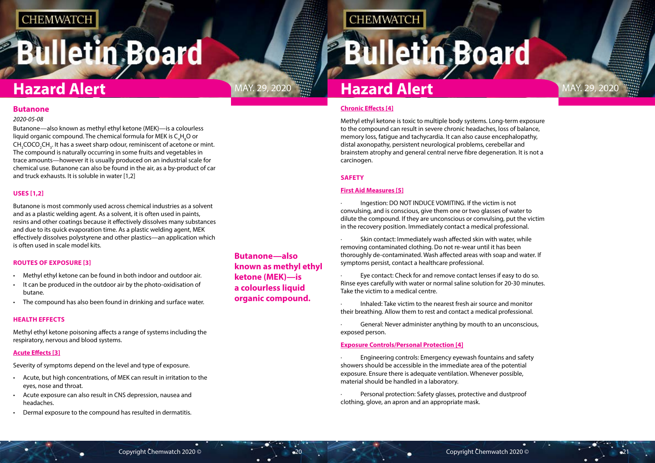# <span id="page-10-0"></span>**Bulletin Board**



**Butanone—also known as methyl ethyl ketone (MEK)—is a colourless liquid organic compound.**

**CHEMWATCH** 

### **Chronic Effects [4]**

Methyl ethyl ketone is toxic to multiple body systems. Long-term exposure to the compound can result in severe chronic headaches, loss of balance, memory loss, fatigue and tachycardia. It can also cause encephalopathy, distal axonopathy, persistent neurological problems, cerebellar and brainstem atrophy and general central nerve fibre degeneration. It is not a carcinogen.

Ingestion: DO NOT INDUCE VOMITING. If the victim is not convulsing, and is conscious, give them one or two glasses of water to dilute the compound. If they are unconscious or convulsing, put the victim in the recovery position. Immediately contact a medical professional.

Skin contact: Immediately wash affected skin with water, while removing contaminated clothing. Do not re-wear until it has been thoroughly de-contaminated. Wash affected areas with soap and water. If symptoms persist, contact a healthcare professional.

### **SAFETY**

#### **First Aid Measures [5]**

Eye contact: Check for and remove contact lenses if easy to do so. Rinse eyes carefully with water or normal saline solution for 20-30 minutes. Take the victim to a medical centre.

General: Never administer anything by mouth to an unconscious, exposed person.

Engineering controls: Emergency eyewash fountains and safety showers should be accessible in the immediate area of the potential exposure. Ensure there is adequate ventilation. Whenever possible, material should be handled in a laboratory.

Personal protection: Safety glasses, protective and dustproof clothing, glove, an apron and an appropriate mask.

· Inhaled: Take victim to the nearest fresh air source and monitor their breathing. Allow them to rest and contact a medical professional.

#### **Exposure Controls/Personal Protection [4]**

### **Butanone**

#### *2020-05-08*

Butanone—also known as methyl ethyl ketone (MEK)—is a colourless liquid organic compound. The chemical formula for MEK is  $\mathsf{C}_4\mathsf{H}_{_8}\mathsf{O}$  or  $\mathsf{CH}_3\mathsf{COCO}_2\mathsf{CH}_3$ . It has a sweet sharp odour, reminiscent of acetone or mint. The compound is naturally occurring in some fruits and vegetables in trace amounts—however it is usually produced on an industrial scale for chemical use. Butanone can also be found in the air, as a by-product of car and truck exhausts. It is soluble in water [1,2]

#### **USES [1,2]**

Butanone is most commonly used across chemical industries as a solvent and as a plastic welding agent. As a solvent, it is often used in paints, resins and other coatings because it effectively dissolves many substances and due to its quick evaporation time. As a plastic welding agent, MEK effectively dissolves polystyrene and other plastics—an application which is often used in scale model kits.

#### **ROUTES OF EXPOSURE [3]**

- Methyl ethyl ketone can be found in both indoor and outdoor air.
- It can be produced in the outdoor air by the photo-oxidisation of butane.
- The compound has also been found in drinking and surface water.

#### **HEALTH EFFECTS**

Methyl ethyl ketone poisoning affects a range of systems including the respiratory, nervous and blood systems.

#### **Acute Effects [3]**

Severity of symptoms depend on the level and type of exposure.

- Acute, but high concentrations, of MEK can result in irritation to the eyes, nose and throat.
- Acute exposure can also result in CNS depression, nausea and headaches.
- Dermal exposure to the compound has resulted in dermatitis.

# **Hazard Alert**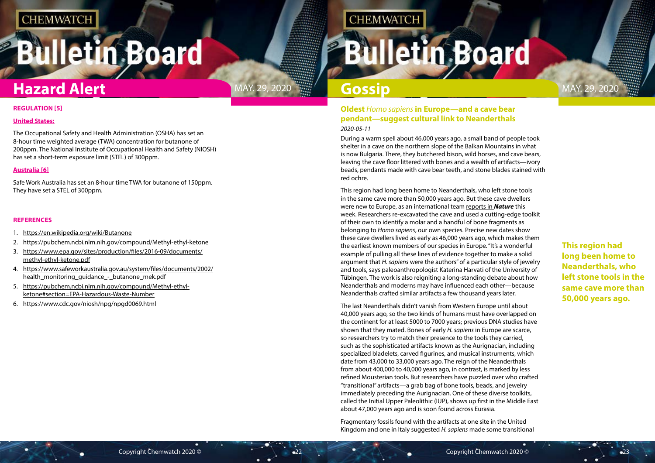# <span id="page-11-0"></span>**Bulletin Board**

May. 29, 2020

## May. 29, 2020

**This region had long been home to Neanderthals, who left stone tools in the same cave more than 50,000 years ago.**

# **Hazard Alert**

### **Oldest** *Homo sapiens* **in Europe—and a cave bear pendant—suggest cultural link to Neanderthals** *2020-05-11*

During a warm spell about 46,000 years ago, a small band of people took shelter in a cave on the northern slope of the Balkan Mountains in what is now Bulgaria. There, they butchered bison, wild horses, and cave bears, leaving the cave floor littered with bones and a wealth of artifacts—ivory beads, pendants made with cave bear teeth, and stone blades stained with red ochre.

This region had long been home to Neanderthals, who left stone tools in the same cave more than 50,000 years ago. But these cave dwellers were new to Europe, as an international team [reports in](https://www.nature.com/articles/s41586-020-2259-z) *Nature* this week. Researchers re-excavated the cave and used a cutting-edge toolkit of their own to identify a molar and a handful of bone fragments as belonging to *Homo sapiens*, our own species. Precise new dates show these cave dwellers lived as early as 46,000 years ago, which makes them the earliest known members of our species in Europe. "It's a wonderful example of pulling all these lines of evidence together to make a solid argument that *H. sapiens* were the authors" of a particular style of jewelry and tools, says paleoanthropologist Katerina Harvati of the University of Tübingen. The work is also reigniting a long-standing debate about how Neanderthals and moderns may have influenced each other—because Neanderthals crafted similar artifacts a few thousand years later.

The last Neanderthals didn't vanish from Western Europe until about 40,000 years ago, so the two kinds of humans must have overlapped on the continent for at least 5000 to 7000 years; previous DNA studies have shown that they mated. Bones of early *H. sapiens* in Europe are scarce, so researchers try to match their presence to the tools they carried, such as the sophisticated artifacts known as the Aurignacian, including specialized bladelets, carved figurines, and musical instruments, which date from 43,000 to 33,000 years ago. The reign of the Neanderthals from about 400,000 to 40,000 years ago, in contrast, is marked by less refined Mousterian tools. But researchers have puzzled over who crafted "transitional" artifacts—a grab bag of bone tools, beads, and jewelry immediately preceding the Aurignacian. One of these diverse toolkits, called the Initial Upper Paleolithic (IUP), shows up first in the Middle East about 47,000 years ago and is soon found across Eurasia.

Fragmentary fossils found with the artifacts at one site in the United Kingdom and one in Italy suggested *H. sapiens* made some transitional



**Gossip**

# **Illetin Board**

#### **REGULATION [5]**

#### **United States:**

The Occupational Safety and Health Administration (OSHA) has set an 8-hour time weighted average (TWA) concentration for butanone of 200ppm. The National Institute of Occupational Health and Safety (NIOSH) has set a short-term exposure limit (STEL) of 300ppm.

#### **Australia [6]**

Safe Work Australia has set an 8-hour time TWA for butanone of 150ppm. They have set a STEL of 300ppm.

#### **REFERENCES**

- 1. <https://en.wikipedia.org/wiki/Butanone>
- 2. <https://pubchem.ncbi.nlm.nih.gov/compound/Methyl-ethyl-ketone>
- 3. [https://www.epa.gov/sites/production/files/2016-09/documents/](https://www.epa.gov/sites/production/files/2016-09/documents/methyl-ethyl-ketone.pdf) [methyl-ethyl-ketone.pdf](https://www.epa.gov/sites/production/files/2016-09/documents/methyl-ethyl-ketone.pdf)
- 4. [https://www.safeworkaustralia.gov.au/system/files/documents/2002/](https://www.safeworkaustralia.gov.au/system/files/documents/2002/health_monitoring_guidance_-_butanone_mek.pdf) [health\\_monitoring\\_guidance\\_-\\_butanone\\_mek.pdf](https://www.safeworkaustralia.gov.au/system/files/documents/2002/health_monitoring_guidance_-_butanone_mek.pdf)
- 5. https://pubchem.ncbi.nlm.nih.gov/compound/Methyl-ethylketone#section=EPA-Hazardous-Waste-Number
- 6. <https://www.cdc.gov/niosh/npg/npgd0069.html>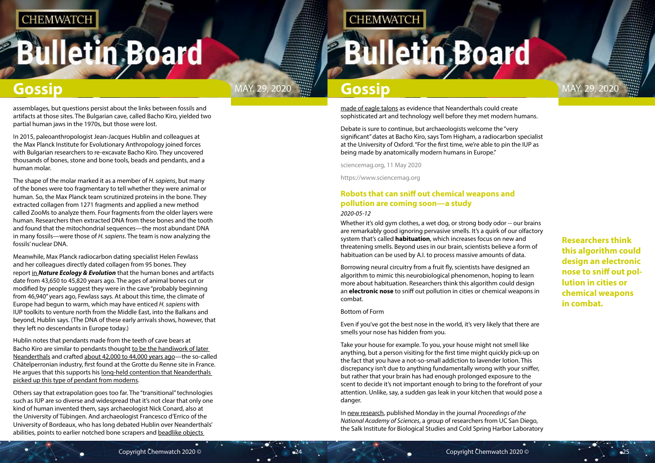# <span id="page-12-0"></span>**Bulletin Board**



**Researchers think this algorithm could design an electronic nose to sniff out pollution in cities or chemical weapons in combat.**

[made of eagle talons](https://advances.sciencemag.org/content/5/11/eaax1984) as evidence that Neanderthals could create sophisticated art and technology well before they met modern humans.

Debate is sure to continue, but archaeologists welcome the "very significant" dates at Bacho Kiro, says Tom Higham, a radiocarbon specialist at the University of Oxford. "For the first time, we're able to pin the IUP as being made by anatomically modern humans in Europe."

sciencemag.org, 11 May 2020

https://www.sciencemag.org

### **Robots that can sniff out chemical weapons and pollution are coming soon—a study**

#### *2020-05-12*

Whether it's old gym clothes, a wet dog, or strong body odor -- our brains are remarkably good ignoring pervasive smells. It's a quirk of our olfactory system that's called **habituation**, which increases focus on new and threatening smells. Beyond uses in our brain, scientists believe a form of habituation can be used by A.I. to process massive amounts of data.

Borrowing neural circuitry from a fruit fly, scientists have designed an algorithm to mimic this neurobiological phenomenon, hoping to learn more about habituation. Researchers think this algorithm could design an **electronic nose** to sniff out pollution in cities or chemical weapons in combat.

Bottom of Form

Even if you've got the best nose in the world, it's very likely that there are smells your nose has hidden from you.

Take your house for example. To you, your house might not smell like anything, but a person visiting for the first time might quickly pick-up on the fact that you have a not-so-small addiction to lavender lotion. This discrepancy isn't due to anything fundamentally wrong with your sniffer, but rather that your brain has had enough prolonged exposure to the scent to decide it's not important enough to bring to the forefront of your attention. Unlike, say, a sudden gas leak in your kitchen that would pose a danger.

In [new research,](https://www.pnas.org/cgi/doi/10.1073/pnas.1915252117) published Monday in the journal *Proceedings of the National Academy of Sciences*, a group of researchers from UC San Diego, the Salk Institute for Biological Studies and Cold Spring Harbor Laboratory

assemblages, but questions persist about the links between fossils and artifacts at those sites. The Bulgarian cave, called Bacho Kiro, yielded two partial human jaws in the 1970s, but those were lost.

In 2015, paleoanthropologist Jean-Jacques Hublin and colleagues at the Max Planck Institute for Evolutionary Anthropology joined forces with Bulgarian researchers to re-excavate Bacho Kiro. They uncovered thousands of bones, stone and bone tools, beads and pendants, and a human molar.

The shape of the molar marked it as a member of *H. sapiens*, but many of the bones were too fragmentary to tell whether they were animal or human. So, the Max Planck team scrutinized proteins in the bone. They extracted collagen from 1271 fragments and applied a new method called ZooMs to analyze them. Four fragments from the older layers were human. Researchers then extracted DNA from these bones and the tooth and found that the mitochondrial sequences—the most abundant DNA in many fossils—were those of *H. sapiens*. The team is now analyzing the fossils' nuclear DNA.

Meanwhile, Max Planck radiocarbon dating specialist Helen Fewlass and her colleagues directly dated collagen from 95 bones. They report in *[Nature Ecology & Evolution](https://www.nature.com/articles/s41559-020-1136-3)* that the human bones and artifacts date from 43,650 to 45,820 years ago. The ages of animal bones cut or modified by people suggest they were in the cave "probably beginning from 46,940" years ago, Fewlass says. At about this time, the climate of Europe had begun to warm, which may have enticed *H. sapiens* with IUP toolkits to venture north from the Middle East, into the Balkans and beyond, Hublin says. (The DNA of these early arrivals shows, however, that they left no descendants in Europe today.)

Hublin notes that pendants made from the teeth of cave bears at Bacho Kiro are similar to pendants thought [to be the handiwork of later](https://www.sciencemag.org/news/2016/09/neandertals-made-their-own-jewelry-new-method-confirms)  [Neanderthals](https://www.sciencemag.org/news/2016/09/neandertals-made-their-own-jewelry-new-method-confirms) and crafted [about 42,000 to 44,000 years ago](https://science.sciencemag.org/content/sci/330/6003/439.1.full.pdf)—the so-called Châtelperronian industry, first found at the Grotte du Renne site in France. He argues that this supports his long-held contention that Neanderthals [picked up this type of pendant from moderns.](https://science.sciencemag.org/content/282/5393/1451)

Others say that extrapolation goes too far. The "transitional" technologies such as IUP are so diverse and widespread that it's not clear that only one kind of human invented them, says archaeologist Nick Conard, also at the University of Tübingen. And archaeologist Francesco d'Errico of the University of Bordeaux, who has long debated Hublin over Neanderthals' abilities, points to earlier notched bone scrapers and [beadlike objects](https://advances.sciencemag.org/content/5/11/eaax1984) 

## **CHEMWATCH**

# **Bulletin Board**

**Gossip Gossip Gossip Gossip Gossip**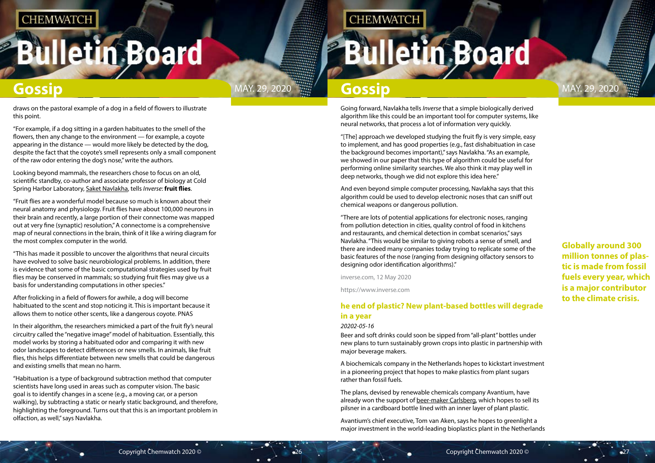# <span id="page-13-0"></span>**Bulletin Board**

MAY. 29, 2020 **May. 29, 2020 Gossip Gossip Gossip Gossip Gossip** 

> **Globally around 300 million tonnes of plastic is made from fossil fuels every year, which is a major contributor to the climate crisis.**

Going forward, Navlakha tells *Inverse* that a simple biologically derived algorithm like this could be an important tool for computer systems, like neural networks, that process a lot of information very quickly.

"[The] approach we developed studying the fruit fly is very simple, easy to implement, and has good properties (e.g., fast dishabituation in case the background becomes important)," says Navlakha. "As an example, we showed in our paper that this type of algorithm could be useful for performing online similarity searches. We also think it may play well in deep networks, though we did not explore this idea here."

And even beyond simple computer processing, Navlakha says that this algorithm could be used to develop electronic noses that can sniff out chemical weapons or dangerous pollution.

"There are lots of potential applications for electronic noses, ranging from pollution detection in cities, quality control of food in kitchens and restaurants, and chemical detection in combat scenarios," says Navlakha. "This would be similar to giving robots a sense of smell, and there are indeed many companies today trying to replicate some of the basic features of the nose (ranging from designing olfactory sensors to designing odor identification algorithms)."

inverse.com, 12 May 2020

https://www.inverse.com

### **he end of plastic? New plant-based bottles will degrade in a year**

#### *20202-05-16*

Beer and soft drinks could soon be sipped from "all-plant" bottles under new plans to turn sustainably grown crops into plastic in partnership with major beverage makers.

A biochemicals company in the Netherlands hopes to kickstart investment in a pioneering project that hopes to make plastics from plant sugars rather than fossil fuels.

The plans, devised by renewable chemicals company Avantium, have already won the support of [beer-maker Carlsberg,](https://www.theguardian.com/food/2018/sep/06/carlsberg-to-replace-plastic-ring-can-holders-with-recyclable-glue) which hopes to sell its pilsner in a cardboard bottle lined with an inner layer of plant plastic.

Avantium's chief executive, Tom van Aken, says he hopes to greenlight a major investment in the world-leading bioplastics plant in the Netherlands



draws on the pastoral example of a dog in a field of flowers to illustrate this point.

"For example, if a dog sitting in a garden habituates to the smell of the flowers, then any change to the environment — for example, a coyote appearing in the distance — would more likely be detected by the dog, despite the fact that the coyote's smell represents only a small component of the raw odor entering the dog's nose," write the authors.

Looking beyond mammals, the researchers chose to focus on an old, scientific standby, co-author and associate professor of biology at Cold Spring Harbor Laboratory, [Saket Navlakha](https://www.cshl.edu/research/faculty-staff/saket-navlakha/), tells *Inverse*: **fruit flies**.

"Fruit flies are a wonderful model because so much is known about their neural anatomy and physiology. Fruit flies have about 100,000 neurons in their brain and recently, a large portion of their connectome was mapped out at very fine (synaptic) resolution," A connectome is a comprehensive map of neural connections in the brain, think of it like a wiring diagram for the most complex computer in the world.

"This has made it possible to uncover the algorithms that neural circuits have evolved to solve basic neurobiological problems. In addition, there is evidence that some of the basic computational strategies used by fruit flies may be conserved in mammals; so studying fruit flies may give us a basis for understanding computations in other species."

After frolicking in a field of flowers for awhile, a dog will become habituated to the scent and stop noticing it. This is important because it allows them to notice other scents, like a dangerous coyote. PNAS

In their algorithm, the researchers mimicked a part of the fruit fly's neural circuitry called the "negative image" model of habituation. Essentially, this model works by storing a habituated odor and comparing it with new odor landscapes to detect differences or new smells. In animals, like fruit flies, this helps differentiate between new smells that could be dangerous and existing smells that mean no harm.

"Habituation is a type of background subtraction method that computer scientists have long used in areas such as computer vision. The basic goal is to identify changes in a scene (e.g., a moving car, or a person walking), by subtracting a static or nearly static background, and therefore, highlighting the foreground. Turns out that this is an important problem in olfaction, as well," says Navlakha.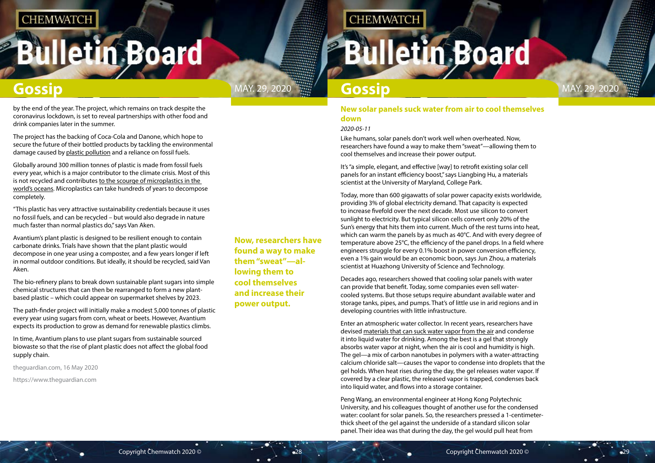# <span id="page-14-0"></span>**Bulletin Board**

# **Gossip Gossip Gossip Gossip Gossip**



**Now, researchers have found a way to make them "sweat"—allowing them to cool themselves and increase their power output.**

**CHEMWATCH** 

### **New solar panels suck water from air to cool themselves down**

#### *2020-05-11*

Like humans, solar panels don't work well when overheated. Now, researchers have found a way to make them "sweat"—allowing them to cool themselves and increase their power output.

It's "a simple, elegant, and effective [way] to retrofit existing solar cell panels for an instant efficiency boost," says Liangbing Hu, a materials scientist at the University of Maryland, College Park.

Today, more than 600 gigawatts of solar power capacity exists worldwide, providing 3% of global electricity demand. That capacity is expected to increase fivefold over the next decade. Most use silicon to convert sunlight to electricity. But typical silicon cells convert only 20% of the Sun's energy that hits them into current. Much of the rest turns into heat, which can warm the panels by as much as 40°C. And with every degree of temperature above 25°C, the efficiency of the panel drops. In a field where engineers struggle for every 0.1% boost in power conversion efficiency, even a 1% gain would be an economic boon, says Jun Zhou, a materials scientist at Huazhong University of Science and Technology.

Decades ago, researchers showed that cooling solar panels with water can provide that benefit. Today, some companies even sell watercooled systems. But those setups require abundant available water and storage tanks, pipes, and pumps. That's of little use in arid regions and in developing countries with little infrastructure.

Enter an atmospheric water collector. In recent years, researchers have devised [materials that can suck water vapor from the air](https://www.sciencemag.org/news/2019/06/new-solar-technology-could-produce-clean-drinking-water-millions-need) and condense it into liquid water for drinking. Among the best is a gel that strongly absorbs water vapor at night, when the air is cool and humidity is high. The gel—a mix of carbon nanotubes in polymers with a water-attracting calcium chloride salt—causes the vapor to condense into droplets that the gel holds. When heat rises during the day, the gel releases water vapor. If covered by a clear plastic, the released vapor is trapped, condenses back into liquid water, and flows into a storage container.

Peng Wang, an environmental engineer at Hong Kong Polytechnic University, and his colleagues thought of another use for the condensed water: coolant for solar panels. So, the researchers pressed a 1-centimeterthick sheet of the gel against the underside of a standard silicon solar panel. Their idea was that during the day, the gel would pull heat from

by the end of the year. The project, which remains on track despite the coronavirus lockdown, is set to reveal partnerships with other food and drink companies later in the summer.

The project has the backing of Coca-Cola and Danone, which hope to secure the future of their bottled products by tackling the environmental damage caused by [plastic pollution](https://www.theguardian.com/environment/2020/apr/30/microplastics-found-in-greater-quantities-than-ever-before-on-seabed-currents-hotspots) and a reliance on fossil fuels.

Globally around 300 million tonnes of plastic is made from fossil fuels every year, which is a major contributor to the climate crisis. Most of this is not recycled and contributes [to the scourge of microplastics in the](https://www.theguardian.com/world/2020/apr/22/microplastics-found-for-first-time-in-antarctic-ice-where-krill-source-food)  [world's oceans.](https://www.theguardian.com/world/2020/apr/22/microplastics-found-for-first-time-in-antarctic-ice-where-krill-source-food) Microplastics can take hundreds of years to decompose completely.

"This plastic has very attractive sustainability credentials because it uses no fossil fuels, and can be recycled – but would also degrade in nature much faster than normal plastics do," says Van Aken.

Avantium's plant plastic is designed to be resilient enough to contain carbonate drinks. Trials have shown that the plant plastic would decompose in one year using a composter, and a few years longer if left in normal outdoor conditions. But ideally, it should be recycled, said Van Aken.

The bio-refinery plans to break down sustainable plant sugars into simple chemical structures that can then be rearranged to form a new plantbased plastic – which could appear on supermarket shelves by 2023.

The path-finder project will initially make a modest 5,000 tonnes of plastic every year using sugars from corn, wheat or beets. However, Avantium expects its production to grow as demand for renewable plastics climbs.

In time, Avantium plans to use plant sugars from sustainable sourced biowaste so that the rise of plant plastic does not affect the global food supply chain.

theguardian.com, 16 May 2020

https://www.theguardian.com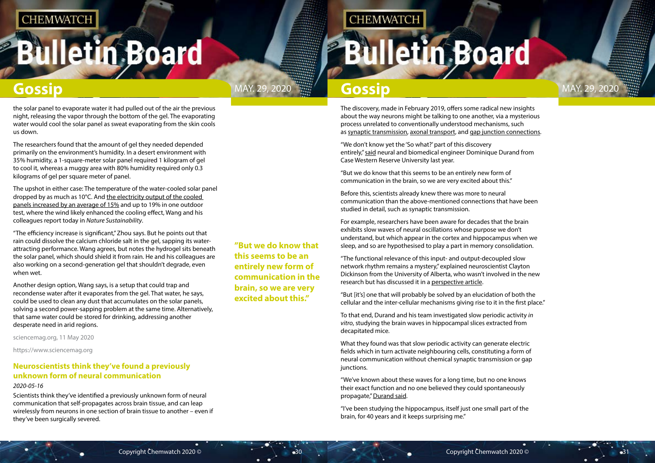# <span id="page-15-0"></span>**Illetin Board**



### **"But we do know that this seems to be an entirely new form of communication in the brain, so we are very excited about this."**

## **CHEMWATCH**

# **Iletin Board**

# **Gossip Gossip**

The discovery, made in February 2019, offers some radical new insights about the way neurons might be talking to one another, via a mysterious process unrelated to conventionally understood mechanisms, such as [synaptic transmission](https://www.nature.com/subjects/synaptic-transmission), [axonal transport](https://en.wikipedia.org/wiki/Axonal_transport), and [gap junction connections.](https://en.wikipedia.org/wiki/Gap_junction)

"We don't know yet the 'So what?' part of this discovery entirely," [said](https://thedaily.case.edu/discovering-a-new-form-of-communication-in-the-brain/) neural and biomedical engineer Dominique Durand from Case Western Reserve University last year.

"But we do know that this seems to be an entirely new form of communication in the brain, so we are very excited about this."

"But [it's] one that will probably be solved by an elucidation of both the cellular and the inter-cellular mechanisms giving rise to it in the first place."

Before this, scientists already knew there was more to neural communication than the above-mentioned connections that have been studied in detail, such as synaptic transmission.

For example, researchers have been aware for decades that the brain exhibits slow waves of neural oscillations whose purpose we don't understand, but which appear in the cortex and hippocampus when we sleep, and so are hypothesised to play a part in memory consolidation.

"The functional relevance of this input‐ and output‐decoupled slow network rhythm remains a mystery," explained neuroscientist Clayton Dickinson from the University of Alberta, who wasn't involved in the new research but has discussed it in a [perspective article](https://physoc.onlinelibrary.wiley.com/doi/full/10.1113/JP277233).

To that end, Durand and his team investigated slow periodic activity *in vitro*, studying the brain waves in hippocampal slices extracted from decapitated mice.

What they found was that slow periodic activity can generate electric fields which in turn activate neighbouring cells, constituting a form of neural communication without chemical synaptic transmission or gap junctions.

"We've known about these waves for a long time, but no one knows their exact function and no one believed they could spontaneously propagate," [Durand said](https://thedaily.case.edu/discovering-a-new-form-of-communication-in-the-brain/).

"I've been studying the hippocampus, itself just one small part of the brain, for 40 years and it keeps surprising me."

the solar panel to evaporate water it had pulled out of the air the previous night, releasing the vapor through the bottom of the gel. The evaporating water would cool the solar panel as sweat evaporating from the skin cools us down.

The researchers found that the amount of gel they needed depended primarily on the environment's humidity. In a desert environment with 35% humidity, a 1-square-meter solar panel required 1 kilogram of gel to cool it, whereas a muggy area with 80% humidity required only 0.3 kilograms of gel per square meter of panel.

The upshot in either case: The temperature of the water-cooled solar panel dropped by as much as 10°C. And [the electricity output of the cooled](https://www.nature.com/articles/s41893-020-0535-4)  [panels increased by an average of 15%](https://www.nature.com/articles/s41893-020-0535-4) and up to 19% in one outdoor test, where the wind likely enhanced the cooling effect, Wang and his colleagues report today in *Nature Sustainability*.

"The efficiency increase is significant," Zhou says. But he points out that rain could dissolve the calcium chloride salt in the gel, sapping its waterattracting performance. Wang agrees, but notes the hydrogel sits beneath the solar panel, which should shield it from rain. He and his colleagues are also working on a second-generation gel that shouldn't degrade, even when wet.

Another design option, Wang says, is a setup that could trap and recondense water after it evaporates from the gel. That water, he says, could be used to clean any dust that accumulates on the solar panels, solving a second power-sapping problem at the same time. Alternatively, that same water could be stored for drinking, addressing another desperate need in arid regions.

sciencemag.org, 11 May 2020

https://www.sciencemag.org

### **Neuroscientists think they've found a previously unknown form of neural communication**

#### *2020-05-16*

Scientists think they've identified a previously unknown form of neural communication that self-propagates across brain tissue, and can leap wirelessly from neurons in one section of brain tissue to another – even if they've been surgically severed.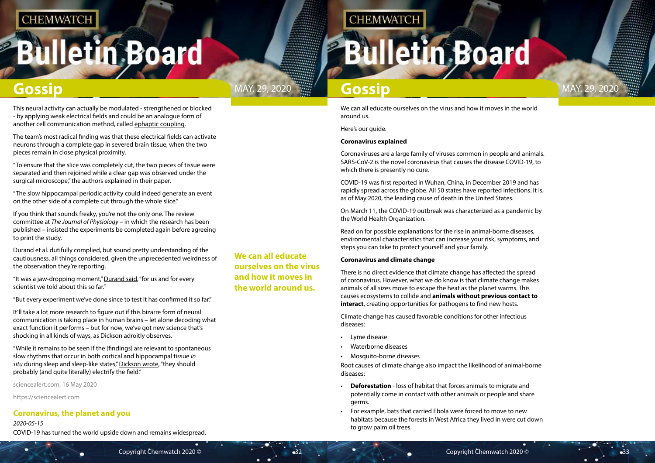# **Iletin Board**

<span id="page-16-0"></span>

### **We can all educate ourselves on the virus and how it moves in the world around us.**

## **CHEMWATCH**

# lletin Board

We can all educate ourselves on the virus and how it moves in the world around us.

Here's our guide.

#### **Coronavirus explained**

Coronaviruses are a large family of viruses common in people and animals. SARS-CoV-2 is the novel coronavirus that causes the disease COVID-19, to which there is presently no cure.

COVID-19 was first reported in Wuhan, China, in December 2019 and has rapidly spread across the globe. All 50 states have reported infections. It is, as of May 2020, the leading cause of death in the United States.

On March 11, the COVID-19 outbreak was characterized as a pandemic by the World Health Organization.

Read on for possible explanations for the rise in animal-borne diseases, environmental characteristics that can increase your risk, symptoms, and steps you can take to protect yourself and your family.

#### **Coronavirus and climate change**

There is no direct evidence that climate change has affected the spread of coronavirus. However, what we do know is that climate change makes animals of all sizes move to escape the heat as the planet warms. This causes ecosystems to collide and **animals without previous contact to interact**, creating opportunities for pathogens to find new hosts.

Climate change has caused favorable conditions for other infectious diseases:

- Lyme disease
- Waterborne diseases
- Mosquito-borne diseases

Root causes of climate change also impact the likelihood of animal-borne diseases:

"It was a jaw-dropping moment," [Durand said](https://thedaily.case.edu/discovering-a-new-form-of-communication-in-the-brain/), "for us and for every scientist we told about this so far."

- **Deforestation** loss of habitat that forces animals to migrate and potentially come in contact with other animals or people and share germs.
- For example, bats that carried Ebola were forced to move to new habitats because the forests in West Africa they lived in were cut down to grow palm oil trees.

This neural activity can actually be modulated - strengthened or blocked - by applying weak electrical fields and could be an analogue form of another cell communication method, called [ephaptic coupling](https://en.wikipedia.org/wiki/Ephaptic_coupling).

The team's most radical finding was that these electrical fields can activate neurons through a complete gap in severed brain tissue, when the two pieces remain in close physical proximity.

"To ensure that the slice was completely cut, the two pieces of tissue were separated and then rejoined while a clear gap was observed under the surgical microscope," [the authors explained in their paper](https://physoc.onlinelibrary.wiley.com/doi/10.1113/JP276904).

"The slow hippocampal periodic activity could indeed generate an event on the other side of a complete cut through the whole slice."

If you think that sounds freaky, you're not the only one. The review committee at *The Journal of Physiology* – in which the research has been published – insisted the experiments be completed again before agreeing to print the study.

Durand et al. dutifully complied, but sound pretty understanding of the cautiousness, all things considered, given the unprecedented weirdness of the observation they're reporting.

"But every experiment we've done since to test it has confirmed it so far."

It'll take a lot more research to figure out if this bizarre form of neural communication is taking place in human brains – let alone decoding what exact function it performs – but for now, we've got new science that's shocking in all kinds of ways, as Dickson adroitly observes.

"While it remains to be seen if the [findings] are relevant to spontaneous slow rhythms that occur in both cortical and hippocampal tissue *in*  situ during sleep and sleep-like states," [Dickson wrote,](https://physoc.onlinelibrary.wiley.com/doi/full/10.1113/JP277233) "they should probably (and quite literally) electrify the field."

sciencealert.com, 16 May 2020

https://sciencealert.com

### **Coronavirus, the planet and you**

*2020-05-15* COVID-19 has turned the world upside down and remains widespread.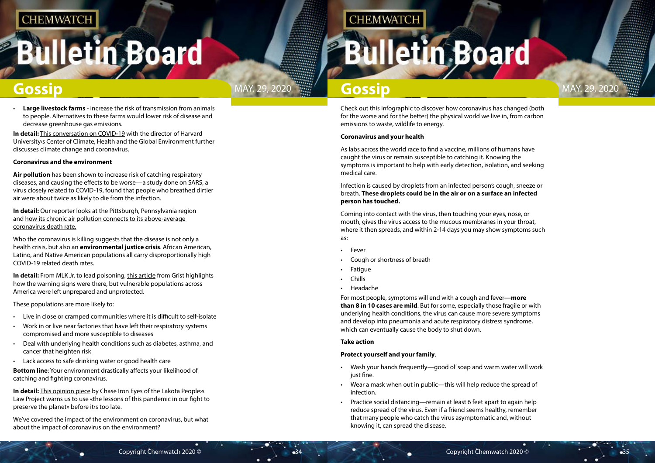# **Illetin Board**



Check out [this infographic](https://venngage.com/blog/coronavirus-impact-on-environment-infographic/) to discover how coronavirus has changed (both for the worse and for the better) the physical world we live in, from carbon emissions to waste, wildlife to energy.

#### **Coronavirus and your health**

**CHEMWATCH** 

As labs across the world race to find a vaccine, millions of humans have caught the virus or remain susceptible to catching it. Knowing the symptoms is important to help with early detection, isolation, and seeking medical care.

- **Fever**
- Cough or shortness of breath
- **Fatigue**
- Chills
- Headache

Infection is caused by droplets from an infected person's cough, sneeze or breath. **These droplets could be in the air or on a surface an infected person has touched.**

Coming into contact with the virus, then touching your eyes, nose, or mouth, gives the virus access to the mucous membranes in your throat, where it then spreads, and within 2-14 days you may show symptoms such as:

For most people, symptoms will end with a cough and fever—**more than 8 in 10 cases are mild**. But for some, especially those fragile or with underlying health conditions, the virus can cause more severe symptoms and develop into pneumonia and acute respiratory distress syndrome, which can eventually cause the body to shut down.

#### **Take action**

#### **Protect yourself and your family**.

- Wash your hands frequently—good ol' soap and warm water will work just fine.
- Wear a mask when out in public—this will help reduce the spread of infection.
- Practice social distancing—remain at least 6 feet apart to again help reduce spread of the virus. Even if a friend seems healthy, remember that many people who catch the virus asymptomatic and, without knowing it, can spread the disease.

• **Large livestock farms** - increase the risk of transmission from animals to people. Alternatives to these farms would lower risk of disease and decrease greenhouse gas emissions.

**In detail:** [This conversation on COVID-19](https://www.ehn.org/coronavirus-environment-2645553060.html) with the director of Harvard University›s Center of Climate, Health and the Global Environment further discusses climate change and coronavirus.

#### **Coronavirus and the environment**

**Air pollution** has been shown to increase risk of catching respiratory diseases, and causing the effects to be worse—a study done on SARS, a virus closely related to COVID-19, found that people who breathed dirtier air were about twice as likely to die from the infection.

**In detail:** Our reporter looks at the Pittsburgh, Pennsylvania region and [how its chronic air pollution connects to its above-average](https://www.ehn.org/pittsburgh-covid-air-pollution-2645888047.html)  [coronavirus death rate.](https://www.ehn.org/pittsburgh-covid-air-pollution-2645888047.html)

Who the coronavirus is killing suggests that the disease is not only a health crisis, but also an **environmental justice crisis**. African American, Latino, and Native American populations all carry disproportionally high COVID-19 related death rates.

**In detail:** From MLK Jr. to lead poisoning, [this article](https://grist.org/justice/coronavirus-is-not-just-a-health-crisis-its-an-environmental-justice-crisis/) from Grist highlights how the warning signs were there, but vulnerable populations across America were left unprepared and unprotected.

These populations are more likely to:

- Live in close or cramped communities where it is difficult to self-isolate
- Work in or live near factories that have left their respiratory systems compromised and more susceptible to diseases
- Deal with underlying health conditions such as diabetes, asthma, and cancer that heighten risk
- Lack access to safe drinking water or good health care

**Bottom line**: Your environment drastically affects your likelihood of catching and fighting coronavirus.

**In detail:** [This opinion piece](https://www.ehn.org/coronavirus-native-americans-2645923635.html) by Chase Iron Eyes of the Lakota People›s Law Project warns us to use «the lessons of this pandemic in our fight to preserve the planet» before it›s too late.

We've covered the impact of the environment on coronavirus, but what about the impact of coronavirus on the environment?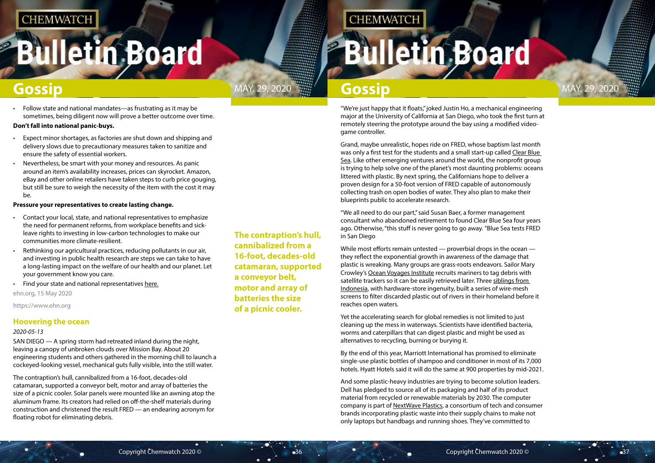# <span id="page-18-0"></span>**Bulletin Board**

**The contraption's hull, cannibalized from a 16-foot, decades-old catamaran, supported a conveyor belt, motor and array of batteries the size of a picnic cooler.**

## **CHEMWATCH**

# **Illetin Board**

#### MAY. 29, 2020 **May. 29, 2020 Gossip Gossip Gossip Gossip Gossip**

"We're just happy that it floats," joked Justin Ho, a mechanical engineering major at the University of California at San Diego, who took the first turn at remotely steering the prototype around the bay using a modified videogame controller.

Grand, maybe unrealistic, hopes ride on FRED, whose baptism last month was only a first test for the students and a small start-up called Clear Blue [Sea](https://www.clearbluesea.org/). Like other emerging ventures around the world, the nonprofit group is trying to help solve one of the planet's most daunting problems: oceans littered with plastic. By next spring, the Californians hope to deliver a proven design for a 50-foot version of FRED capable of autonomously collecting trash on open bodies of water. They also plan to make their blueprints public to accelerate research.

"We all need to do our part," said Susan Baer, a former management consultant who abandoned retirement to found Clear Blue Sea four years ago. Otherwise, "this stuff is never going to go away. "Blue Sea tests FRED in San Diego

While most efforts remain untested — proverbial drops in the ocean they reflect the exponential growth in awareness of the damage that plastic is wreaking. Many groups are grass-roots endeavors. Sailor Mary Crowley's [Ocean Voyages Institute](https://www.oceanvoyagesinstitute.org/) recruits mariners to tag debris with satellite trackers so it can be easily retrieved later. Three [siblings from](https://makeachange.world/)  [Indonesia](https://makeachange.world/), with hardware-store ingenuity, built a series of wire-mesh screens to filter discarded plastic out of rivers in their homeland before it reaches open waters.

- Contact your local, state, and national representatives to emphasize the need for permanent reforms, from workplace benefits and sickleave rights to investing in low-carbon technologies to make our communities more climate-resilient.
- Rethinking our agricultural practices, reducing pollutants in our air, and investing in public health research are steps we can take to have a long-lasting impact on the welfare of our health and our planet. Let your government know you care.
- Find your state and national representatives [here.](https://www.commoncause.org/find-your-representative/)

Yet the accelerating search for global remedies is not limited to just cleaning up the mess in waterways. Scientists have identified bacteria, worms and caterpillars that can digest plastic and might be used as alternatives to recycling, burning or burying it.

By the end of this year, Marriott International has promised to eliminate single-use plastic bottles of shampoo and conditioner in most of its 7,000 hotels. Hyatt Hotels said it will do the same at 900 properties by mid-2021.

And some plastic-heavy industries are trying to become solution leaders. Dell has pledged to source all of its packaging and half of its product material from recycled or renewable materials by 2030. The computer company is part of [NextWave Plastics](https://www.nextwaveplastics.org/), a consortium of tech and consumer brands incorporating plastic waste into their supply chains to make not only laptops but handbags and running shoes. They've committed to



• Follow state and national mandates—as frustrating as it may be sometimes, being diligent now will prove a better outcome over time.

#### **Don't fall into national panic-buys.**

- Expect minor shortages, as factories are shut down and shipping and delivery slows due to precautionary measures taken to sanitize and ensure the safety of essential workers.
- Nevertheless, be smart with your money and resources. As panic around an item's availability increases, prices can skyrocket. Amazon, eBay and other online retailers have taken steps to curb price gouging, but still be sure to weigh the necessity of the item with the cost it may be.

#### **Pressure your representatives to create lasting change.**

ehn.org, 15 May 2020

https://www.ehn.org

### **Hoovering the ocean**

#### *2020-05-13*

SAN DIEGO — A spring storm had retreated inland during the night, leaving a canopy of unbroken clouds over Mission Bay. About 20 engineering students and others gathered in the morning chill to launch a cockeyed-looking vessel, mechanical guts fully visible, into the still water.

The contraption's hull, cannibalized from a 16-foot, decades-old catamaran, supported a conveyor belt, motor and array of batteries the size of a picnic cooler. Solar panels were mounted like an awning atop the aluminum frame. Its creators had relied on off-the-shelf materials during construction and christened the result FRED — an endearing acronym for floating robot for eliminating debris.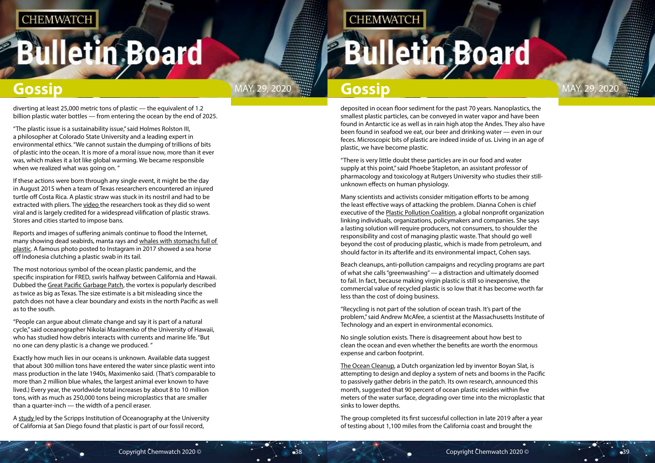# **Illetin Board**

deposited in ocean floor sediment for the past 70 years. Nanoplastics, the smallest plastic particles, can be conveyed in water vapor and have been found in Antarctic ice as well as in rain high atop the Andes. They also have been found in seafood we eat, our beer and drinking water — even in our feces. Microscopic bits of plastic are indeed inside of us. Living in an age of plastic, we have become plastic.

"There is very little doubt these particles are in our food and water supply at this point," said Phoebe Stapleton, an assistant professor of pharmacology and toxicology at Rutgers University who studies their stillunknown effects on human physiology.

Many scientists and activists consider mitigation efforts to be among the least effective ways of attacking the problem. Dianna Cohen is chief executive of the [Plastic Pollution Coalition](https://www.plasticpollutioncoalition.org/), a global nonprofit organization linking individuals, organizations, policymakers and companies. She says a lasting solution will require producers, not consumers, to shoulder the responsibility and cost of managing plastic waste. That should go well beyond the cost of producing plastic, which is made from petroleum, and should factor in its afterlife and its environmental impact, Cohen says.

"The plastic issue is a sustainability issue," said Holmes Rolston III, a philosopher at Colorado State University and a leading expert in environmental ethics. "We cannot sustain the dumping of trillions of bits of plastic into the ocean. It is more of a moral issue now, more than it ever was, which makes it a lot like global warming. We became responsible when we realized what was going on."

> Beach cleanups, anti-pollution campaigns and recycling programs are part of what she calls "greenwashing" — a distraction and ultimately doomed to fail. In fact, because making virgin plastic is still so inexpensive, the commercial value of recycled plastic is so low that it has become worth far less than the cost of doing business.

> "Recycling is not part of the solution of ocean trash. It's part of the problem," said Andrew McAfee, a scientist at the Massachusetts Institute of Technology and an expert in environmental economics.

No single solution exists. There is disagreement about how best to clean the ocean and even whether the benefits are worth the enormous expense and carbon footprint.

[The Ocean Cleanup](https://theoceancleanup.com/), a Dutch organization led by inventor Boyan Slat, is attempting to design and deploy a system of nets and booms in the Pacific to passively gather debris in the patch. Its own research, announced this month, suggested that 90 percent of ocean plastic resides within five meters of the water surface, degrading over time into the microplastic that sinks to lower depths.

The group completed its first successful collection in late 2019 after a year of testing about 1,100 miles from the California coast and brought the

diverting at least 25,000 metric tons of plastic — the equivalent of 1.2 billion plastic water bottles — from entering the ocean by the end of 2025.

If these actions were born through any single event, it might be the day in August 2015 when a team of Texas researchers encountered an injured turtle off Costa Rica. A plastic straw was stuck in its nostril and had to be extracted with pliers. The [video](https://www.youtube.com/watch?v=4wH878t78bw) the researchers took as they did so went viral and is largely credited for a widespread vilification of plastic straws. Stores and cities started to impose bans.

Reports and images of suffering animals continue to flood the Internet, many showing dead seabirds, manta rays and [whales with stomachs full of](https://www.washingtonpost.com/news/speaking-of-science/wp/2018/06/03/no-one-could-save-a-pilot-whale-that-swallowed-17-pounds-of-plastic-bags-off-thailand/)  [plastic](https://www.washingtonpost.com/news/speaking-of-science/wp/2018/06/03/no-one-could-save-a-pilot-whale-that-swallowed-17-pounds-of-plastic-bags-off-thailand/). A famous photo posted to Instagram in 2017 showed a sea horse off Indonesia clutching a plastic swab in its tail.

The most notorious symbol of the ocean plastic pandemic, and the specific inspiration for FRED, swirls halfway between California and Hawaii. Dubbed the [Great Pacific Garbage Patch](https://www.nationalgeographic.org/encyclopedia/great-pacific-garbage-patch/), the vortex is popularly described as twice as big as Texas. The size estimate is a bit misleading since the patch does not have a clear boundary and exists in the north Pacific as well as to the south.

"People can argue about climate change and say it is part of a natural cycle," said oceanographer Nikolai Maximenko of the University of Hawaii, who has studied how debris interacts with currents and marine life. "But no one can deny plastic is a change we produced. "

Exactly how much lies in our oceans is unknown. Available data suggest that about 300 million tons have entered the water since plastic went into mass production in the late 1940s, Maximenko said. (That's comparable to more than 2 million blue whales, the largest animal ever known to have lived.) Every year, the worldwide total increases by about 8 to 10 million tons, with as much as 250,000 tons being microplastics that are smaller than a quarter-inch — the width of a pencil eraser.

A [study](https://scripps.ucsd.edu/news/explosion-plastic-pollution-post-world-war-ii-seen-marine-sediments) led by the Scripps Institution of Oceanography at the University of California at San Diego found that plastic is part of our fossil record,

## **CHEMWATCH**

# lletin Board

# **Gossip MAY. 29, 2020 <b>Gossip** MAY. 29, 2020 **Gossip** MAY. 29, 2020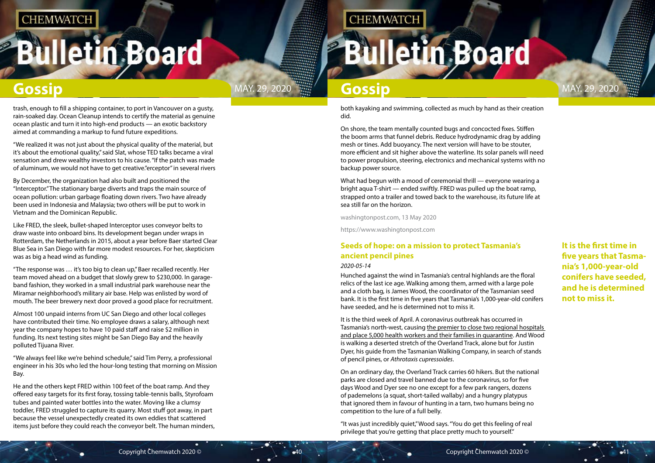# <span id="page-20-0"></span>**Bulletin Board**



**It is the first time in five years that Tasmania's 1,000-year-old conifers have seeded, and he is determined not to miss it.**

both kayaking and swimming, collected as much by hand as their creation did.

On shore, the team mentally counted bugs and concocted fixes. Stiffen the boom arms that funnel debris. Reduce hydrodynamic drag by adding mesh or tines. Add buoyancy. The next version will have to be stouter, more efficient and sit higher above the waterline. Its solar panels will need to power propulsion, steering, electronics and mechanical systems with no backup power source.

What had begun with a mood of ceremonial thrill — everyone wearing a bright aqua T-shirt — ended swiftly. FRED was pulled up the boat ramp, strapped onto a trailer and towed back to the warehouse, its future life at sea still far on the horizon.

washingtonpost.com, 13 May 2020

https://www.washingtonpost.com

### **Seeds of hope: on a mission to protect Tasmania's ancient pencil pines**

*2020-05-14*

Hunched against the wind in Tasmania's central highlands are the floral relics of the last ice age. Walking among them, armed with a large pole and a cloth bag, is James Wood, the coordinator of the Tasmanian seed bank. It is the first time in five years that Tasmania's 1,000-year-old conifers have seeded, and he is determined not to miss it.

It is the third week of April. A coronavirus outbreak has occurred in Tasmania's north-west, causing [the premier to close two regional hospitals](https://www.theguardian.com/world/2020/apr/13/we-can-save-lives-tasmanias-isolated-north-west-succumbs-to-australias-strictest-coronavirus-rules)  [and place 5,000 health workers and their families in quarantine](https://www.theguardian.com/world/2020/apr/13/we-can-save-lives-tasmanias-isolated-north-west-succumbs-to-australias-strictest-coronavirus-rules). And Wood is walking a deserted stretch of the Overland Track, alone but for Justin Dyer, his guide from the Tasmanian Walking Company, in search of stands of pencil pines, or *Athrotaxis cupressoides*.

On an ordinary day, the Overland Track carries 60 hikers. But the national parks are closed and travel banned due to the coronavirus, so for five days Wood and Dyer see no one except for a few park rangers, dozens of pademelons (a squat, short-tailed wallaby) and a hungry platypus that ignored them in favour of hunting in a tarn, two humans being no competition to the lure of a full belly.

"It was just incredibly quiet," Wood says. "You do get this feeling of real privilege that you're getting that place pretty much to yourself."

trash, enough to fill a shipping container, to port in Vancouver on a gusty, rain-soaked day. Ocean Cleanup intends to certify the material as genuine ocean plastic and turn it into high-end products — an exotic backstory

aimed at commanding a markup to fund future expeditions.

"We realized it was not just about the physical quality of the material, but it's about the emotional quality," said Slat, whose TED talks became a viral sensation and drew wealthy investors to his cause. "If the patch was made of aluminum, we would not have to get creative."erceptor" in several rivers

By December, the organization had also built and positioned the "Interceptor." The stationary barge diverts and traps the main source of ocean pollution: urban garbage floating down rivers. Two have already been used in Indonesia and Malaysia; two others will be put to work in Vietnam and the Dominican Republic.

Like FRED, the sleek, bullet-shaped Interceptor uses conveyor belts to draw waste into onboard bins. Its development began under wraps in Rotterdam, the Netherlands in 2015, about a year before Baer started Clear Blue Sea in San Diego with far more modest resources. For her, skepticism was as big a head wind as funding.

"The response was … it's too big to clean up," Baer recalled recently. Her team moved ahead on a budget that slowly grew to \$230,000. In garageband fashion, they worked in a small industrial park warehouse near the Miramar neighborhood's military air base. Help was enlisted by word of mouth. The beer brewery next door proved a good place for recruitment.

Almost 100 unpaid interns from UC San Diego and other local colleges have contributed their time. No employee draws a salary, although next year the company hopes to have 10 paid staff and raise \$2 million in funding. Its next testing sites might be San Diego Bay and the heavily polluted Tijuana River.

"We always feel like we're behind schedule," said Tim Perry, a professional engineer in his 30s who led the hour-long testing that morning on Mission Bay.

He and the others kept FRED within 100 feet of the boat ramp. And they offered easy targets for its first foray, tossing table-tennis balls, Styrofoam tubes and painted water bottles into the water. Moving like a clumsy toddler, FRED struggled to capture its quarry. Most stuff got away, in part because the vessel unexpectedly created its own eddies that scattered items just before they could reach the conveyor belt. The human minders,

## **CHEMWATCH**

**Illetin Board** 

## **Gossip Gossip Gossip Gossip Gossip**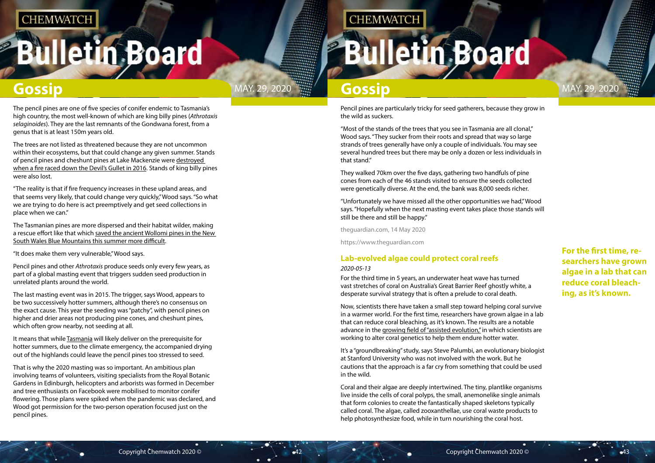

**For the first time, researchers have grown algae in a lab that can reduce coral bleaching, as it's known.**

Pencil pines are particularly tricky for seed gatherers, because they grow in the wild as suckers.

"Most of the stands of the trees that you see in Tasmania are all clonal," Wood says. "They sucker from their roots and spread that way so large strands of trees generally have only a couple of individuals. You may see several hundred trees but there may be only a dozen or less individuals in that stand."

They walked 70km over the five days, gathering two handfuls of pine cones from each of the 46 stands visited to ensure the seeds collected were genetically diverse. At the end, the bank was 8,000 seeds richer.

"Unfortunately we have missed all the other opportunities we had," Wood says. "Hopefully when the next masting event takes place those stands will still be there and still be happy."

theguardian.com, 14 May 2020

https://www.theguardian.com

#### **Lab-evolved algae could protect coral reefs** *2020-05-13*

For the third time in 5 years, an underwater heat wave has turned vast stretches of coral on Australia's Great Barrier Reef ghostly white, a desperate survival strategy that is often a prelude to coral death.

Now, scientists there have taken a small step toward helping coral survive in a warmer world. For the first time, researchers have grown algae in a lab that can reduce coral bleaching, as it's known. The results are a notable advance in the [growing field of "assisted evolution,"](https://www.sciencemag.org/news/2019/03/researchers-embrace-radical-idea-engineering-coral-cope-climate-change) in which scientists are working to alter coral genetics to help them endure hotter water.

It's a "groundbreaking" study, says Steve Palumbi, an evolutionary biologist at Stanford University who was not involved with the work. But he cautions that the approach is a far cry from something that could be used in the wild.

Coral and their algae are deeply intertwined. The tiny, plantlike organisms live inside the cells of coral polyps, the small, anemonelike single animals that form colonies to create the fantastically shaped skeletons typically called coral. The algae, called zooxanthellae, use coral waste products to help photosynthesize food, while in turn nourishing the coral host.

The pencil pines are one of five species of conifer endemic to Tasmania's high country, the most well-known of which are king billy pines (*Athrotaxis selaginoides*). They are the last remnants of the Gondwana forest, from a

## <span id="page-21-0"></span>**CHEMWATCH**

genus that is at least 150m years old.

# **Bulletin Board**

The trees are not listed as threatened because they are not uncommon within their ecosystems, but that could change any given summer. Stands of pencil pines and cheshunt pines at Lake Mackenzie were [destroyed](https://www.theguardian.com/environment/2016/jan/27/world-heritage-forests-burn-as-global-tragedy-unfolds-in-tasmania)  [when a fire raced down the Devil's Gullet in 2016](https://www.theguardian.com/environment/2016/jan/27/world-heritage-forests-burn-as-global-tragedy-unfolds-in-tasmania). Stands of king billy pines were also lost.

"The reality is that if fire frequency increases in these upland areas, and that seems very likely, that could change very quickly," Wood says. "So what we are trying to do here is act preemptively and get seed collections in place when we can."

The Tasmanian pines are more dispersed and their habitat wilder, making a rescue effort like that which [saved the ancient Wollomi pines in the New](https://www.theguardian.com/australia-news/2020/jan/15/dinosaur-trees-firefighters-save-endangered-wollemi-pines-from-nsw-bushfires)  [South Wales Blue Mountains this summer more difficult.](https://www.theguardian.com/australia-news/2020/jan/15/dinosaur-trees-firefighters-save-endangered-wollemi-pines-from-nsw-bushfires)

"It does make them very vulnerable," Wood says.

Pencil pines and other *Athrotaxis* produce seeds only every few years, as part of a global masting event that triggers sudden seed production in unrelated plants around the world.

The last masting event was in 2015. The trigger, says Wood, appears to be two successively hotter summers, although there's no consensus on the exact cause. This year the seeding was "patchy", with pencil pines on higher and drier areas not producing pine cones, and cheshunt pines, which often grow nearby, not seeding at all.

It means that while [Tasmania](https://www.theguardian.com/australia-news/tasmania) will likely deliver on the prerequisite for hotter summers, due to the climate emergency, the accompanied drying out of the highlands could leave the pencil pines too stressed to seed.

That is why the 2020 masting was so important. An ambitious plan involving teams of volunteers, visiting specialists from the Royal Botanic Gardens in Edinburgh, helicopters and arborists was formed in December and tree enthusiasts on Facebook were mobilised to monitor conifer flowering. Those plans were spiked when the pandemic was declared, and Wood got permission for the two-person operation focused just on the pencil pines.

## **CHEMWATCH**

# **Iletin Board**

## **Gossip Gossip Gossip Gossip Gossip**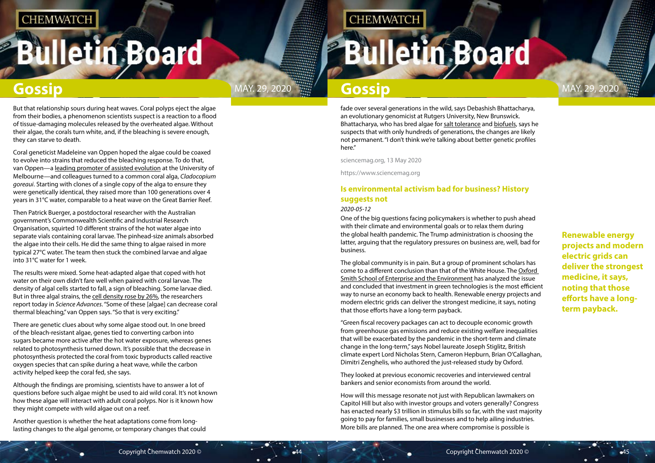# <span id="page-22-0"></span>**Bulletin Board**



**Renewable energy projects and modern electric grids can deliver the strongest medicine, it says, noting that those efforts have a longterm payback.** 

fade over several generations in the wild, says Debashish Bhattacharya, an evolutionary genomicist at Rutgers University, New Brunswick. Bhattacharya, who has bred algae for [salt tolerance](https://www.ncbi.nlm.nih.gov/pubmed/24373049) and [biofuels,](https://journals.plos.org/plosone/article?id=10.1371/journal.pone.0092533) says he suspects that with only hundreds of generations, the changes are likely not permanent. "I don't think we're talking about better genetic profiles here."

sciencemag.org, 13 May 2020

https://www.sciencemag.org

### **Is environmental activism bad for business? History suggests not**

#### *2020-05-12*

One of the big questions facing policymakers is whether to push ahead with their climate and environmental goals or to relax them during the global health pandemic. The Trump administration is choosing the latter, arguing that the regulatory pressures on business are, well, bad for business.

The global community is in pain. But a group of prominent scholars has come to a different conclusion than that of the White House. The [Oxford](https://www.smithschool.ox.ac.uk/publications/wpapers/workingpaper20-02.pdf)  [Smith School of Enterprise and the Environment](https://www.smithschool.ox.ac.uk/publications/wpapers/workingpaper20-02.pdf) has analyzed the issue and concluded that investment in green technologies is the most efficient way to nurse an economy back to health. Renewable energy projects and modern electric grids can deliver the strongest medicine, it says, noting that those efforts have a long-term payback.

"Green fiscal recovery packages can act to decouple economic growth from greenhouse gas emissions and reduce existing welfare inequalities that will be exacerbated by the pandemic in the short-term and climate change in the long-term," says Nobel laureate Joseph Stiglitz, British climate expert Lord Nicholas Stern, Cameron Hepburn, Brian O'Callaghan, Dimitri Zenghelis, who authored the just-released study by Oxford.

They looked at previous economic recoveries and interviewed central bankers and senior economists from around the world.

How will this message resonate not just with Republican lawmakers on Capitol Hill but also with investor groups and voters generally? Congress has enacted nearly \$3 trillion in stimulus bills so far, with the vast majority going to pay for families, small businesses and to help ailing industries. More bills are planned. The one area where compromise is possible is

But that relationship sours during heat waves. Coral polyps eject the algae from their bodies, a phenomenon scientists suspect is a reaction to a flood of tissue-damaging molecules released by the overheated algae. Without their algae, the corals turn white, and, if the bleaching is severe enough, they can starve to death.

Coral geneticist Madeleine van Oppen hoped the algae could be coaxed to evolve into strains that reduced the bleaching response. To do that, van Oppen—a [leading promoter of assisted evolution](https://www.pnas.org/content/112/8/2307) at the University of Melbourne—and colleagues turned to a common coral alga, *Cladocopium goreaui*. Starting with clones of a single copy of the alga to ensure they were genetically identical, they raised more than 100 generations over 4 years in 31°C water, comparable to a heat wave on the Great Barrier Reef.

Then Patrick Buerger, a postdoctoral researcher with the Australian government's Commonwealth Scientific and Industrial Research Organisation, squirted 10 different strains of the hot water algae into separate vials containing coral larvae. The pinhead-size animals absorbed the algae into their cells. He did the same thing to algae raised in more typical 27°C water. The team then stuck the combined larvae and algae into 31°C water for 1 week.

The results were mixed. Some heat-adapted algae that coped with hot water on their own didn't fare well when paired with coral larvae. The density of algal cells started to fall, a sign of bleaching. Some larvae died. But in three algal strains, the [cell density rose by 26%](https://advances.sciencemag.org/content/6/20/eaba2498), the researchers report today in *Science Advances*. "Some of these [algae] can decrease coral thermal bleaching," van Oppen says. "So that is very exciting."

There are genetic clues about why some algae stood out. In one breed of the bleach-resistant algae, genes tied to converting carbon into sugars became more active after the hot water exposure, whereas genes related to photosynthesis turned down. It's possible that the decrease in photosynthesis protected the coral from toxic byproducts called reactive oxygen species that can spike during a heat wave, while the carbon activity helped keep the coral fed, she says.

Although the findings are promising, scientists have to answer a lot of questions before such algae might be used to aid wild coral. It's not known how these algae will interact with adult coral polyps. Nor is it known how they might compete with wild algae out on a reef.

Another question is whether the heat adaptations come from longlasting changes to the algal genome, or temporary changes that could

# **Gossip Gossip Gossip Gossip Gossip**

## **CHEMWATCH**

# **Bulletin Board**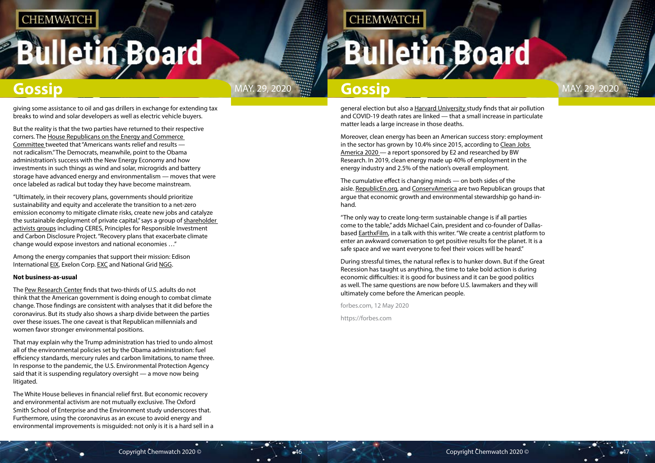# **Illetin Board**

**CHEMWATCH** 





general election but also a Harvard University study finds that air pollution and COVID-19 death rates are linked — that a small increase in particulate matter leads a large increase in those deaths.

Moreover, clean energy has been an American success story: employment in the sector has grown by 10.4% since 2015, according to Clean Jobs America 2020 — a report sponsored by E2 and researched by BW Research. In 2019, clean energy made up 40% of employment in the energy industry and 2.5% of the nation's overall employment.

The cumulative effect is changing minds — on both sides of the aisle. [RepublicEn.org](http://republicen.org/), and [ConservAmerica](https://www.conservamerica.org/) are two Republican groups that argue that economic growth and environmental stewardship go hand-inhand.

"The only way to create long-term sustainable change is if all parties come to the table," adds Michael Cain, president and co-founder of Dallasbased [EarthxFilm](https://earthxfilm.org/), in a talk with this writer. "We create a centrist platform to enter an awkward conversation to get positive results for the planet. It is a safe space and we want everyone to feel their voices will be heard."

During stressful times, the natural reflex is to hunker down. But if the Great Recession has taught us anything, the time to take bold action is during economic difficulties: it is good for business and it can be good politics as well. The same questions are now before U.S. lawmakers and they will ultimately come before the American people.

forbes.com, 12 May 2020

https://forbes.com

giving some assistance to oil and gas drillers in exchange for extending tax breaks to wind and solar developers as well as electric vehicle buyers.

But the reality is that the two parties have returned to their respective corners. The [House Republicans on the Energy and Commerce](https://twitter.com/HouseCommerce/status/1252968353599238144?s=20)  [Committee t](https://twitter.com/HouseCommerce/status/1252968353599238144?s=20)weeted that "Americans wants relief and results not radicalism." The Democrats, meanwhile, point to the Obama administration's success with the New Energy Economy and how investments in such things as wind and solar, microgrids and battery storage have advanced energy and environmentalism — moves that were once labeled as radical but today they have become mainstream.

"Ultimately, in their recovery plans, governments should prioritize sustainability and equity and accelerate the transition to a net-zero emission economy to mitigate climate risks, create new jobs and catalyze the sustainable deployment of private capital," says a group of [shareholder](http://theinvestoragenda.org/wp-content/uploads/2020/05/THE_INVESTOR_AGENDA_A_SUSTAINABLE_RECOVERY_FROM_COVID-19.pdf)  [activists groups](http://theinvestoragenda.org/wp-content/uploads/2020/05/THE_INVESTOR_AGENDA_A_SUSTAINABLE_RECOVERY_FROM_COVID-19.pdf) including CERES, Principles for Responsible Investment and Carbon Disclosure Project. "Recovery plans that exacerbate climate change would expose investors and national economies …"

Among the energy companies that support their mission: Edison International [EIX,](https://www.forbes.com/companies/edison-international) Exelon Corp. [EXC](https://www.forbes.com/companies/exelon) and National Grid [NGG](https://www.forbes.com/companies/national-grid-usa).

#### **Not business-as-usual**

The [Pew Research Center](https://www.pewresearch.org/fact-tank/2020/04/21/how-americans-see-climate-change-and-the-environment-in-7-charts/) finds that two-thirds of U.S. adults do not think that the American government is doing enough to combat climate change. Those findings are consistent with analyses that it did before the coronavirus. But its study also shows a sharp divide between the parties over these issues. The one caveat is that Republican millennials and women favor stronger environmental positions.

That may explain why the Trump administration has tried to undo almost all of the environmental policies set by the Obama administration: fuel efficiency standards, mercury rules and carbon limitations, to name three. In response to the pandemic, the U.S. Environmental Protection Agency said that it is suspending regulatory oversight — a move now being litigated.

The White House believes in financial relief first. But economic recovery and environmental activism are not mutually exclusive. The Oxford Smith School of Enterprise and the Environment study underscores that. Furthermore, using the coronavirus as an excuse to avoid energy and environmental improvements is misguided: not only is it is a hard sell in a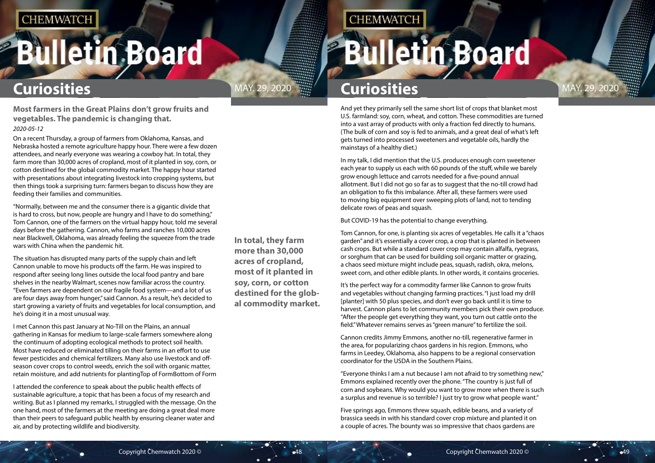# <span id="page-24-0"></span>**Bulletin Board**

**In total, they farm more than 30,000 acres of cropland,** 

**most of it planted in soy, corn, or cotton** 

**destined for the glob-**

**al commodity market.**

And yet they primarily sell the same short list of crops that blanket most U.S. farmland: soy, corn, wheat, and cotton. These commodities are turned into a vast array of products with only a fraction fed directly to humans. (The bulk of corn and soy is fed to animals, and a great deal of what's left gets turned into processed sweeteners and vegetable oils, hardly the mainstays of a healthy diet.)

In my talk, I did mention that the [U.S. produces](https://www.ers.usda.gov/data-products/ag-and-food-statistics-charting-the-essentials/food-availability-and-consumption/) enough corn sweetener each year to supply us each with 60 pounds of the stuff, while we barely grow enough lettuce and carrots needed for a five-pound annual allotment. But I did not go so far as to suggest that the no-till crowd had an obligation to fix this imbalance. After all, these farmers were used to moving big equipment over sweeping plots of land, not to tending delicate rows of peas and squash.

But COVID-19 has the potential to change everything.

Tom Cannon, for one, is planting six acres of vegetables. He calls it a "chaos garden" and it's essentially a cover crop, a crop that is planted in between cash crops. But while a standard cover crop may contain alfalfa, ryegrass, or sorghum that can be used for building soil organic matter or grazing, a chaos seed mixture might include peas, squash, radish, okra, melons, sweet corn, and other edible plants. In other words, it contains groceries.

It's the perfect way for a commodity farmer like Cannon to grow fruits and vegetables without changing farming practices. "I just load my drill [planter] with 50 plus species, and don't ever go back until it is time to harvest. Cannon plans to let community members pick their own produce. "After the people get everything they want, you turn out cattle onto the field." Whatever remains serves as "green manure" to fertilize the soil.

Cannon credits Jimmy Emmons, another no-till, regenerative farmer in the area, for popularizing chaos gardens in his region. Emmons, who farms in Leedey, Oklahoma, also happens to be a regional conservation coordinator for the USDA in the Southern Plains.

"Everyone thinks I am a nut because I am not afraid to try something new," Emmons explained recently over the phone. "The country is just full of corn and soybeans. Why would you want to grow more when there is such a surplus and revenue is so terrible? I just try to grow what people want."

Five springs ago, Emmons threw squash, edible beans, and a variety of brassica seeds in with his standard cover crop mixture and planted it on a couple of acres. The bounty was so impressive that chaos gardens are

# **Bulletin Board**

#### **Most farmers in the Great Plains don't grow fruits and vegetables. The pandemic is changing that.** *2020-05-12*

On a recent Thursday, a group of farmers from Oklahoma, Kansas, and Nebraska hosted a remote agriculture happy hour. There were a few dozen attendees, and nearly everyone was wearing a cowboy hat. In total, they farm more than 30,000 acres of cropland, most of it planted in soy, corn, or cotton destined for the global commodity market. The happy hour started with presentations about integrating livestock into cropping systems, but then things took a surprising turn: farmers began to discuss how they are feeding their families and communities.

"Normally, between me and the consumer there is a gigantic divide that is hard to cross, but now, people are hungry and I have to do something," Tom Cannon, one of the farmers on the virtual happy hour, told me several days before the gathering. Cannon, who farms and ranches 10,000 acres near Blackwell, Oklahoma, was already feeling the squeeze from the trade wars with China when the pandemic hit.

The situation has disrupted many parts of the supply chain and left Cannon unable to move his products off the farm. He was inspired to respond after seeing long lines outside the local food pantry and bare shelves in the nearby Walmart, scenes now familiar across the country. "Even farmers are dependent on our fragile food system—and a lot of us are four days away from hunger," said Cannon. As a result, he's decided to start growing a variety of fruits and vegetables for local consumption, and he's doing it in a most unusual way.

I met Cannon this past January at No-Till on the Plains, an [annual](https://civileats.com/2018/02/13/no-till-farmers-push-for-healthy-soils-ignites-a-movement-in-the-plains/)  [gathering in Kansas](https://civileats.com/2018/02/13/no-till-farmers-push-for-healthy-soils-ignites-a-movement-in-the-plains/) for medium to large-scale farmers somewhere along the continuum of adopting ecological methods to protect soil health. Most have reduced or eliminated tilling on their farms in an effort to use fewer pesticides and chemical fertilizers. Many also use livestock and offseason cover crops to control weeds, enrich the soil with organic matter, retain moisture, and add nutrients for plantingTop of FormBottom of Form

I attended the conference to speak about the public health effects of sustainable agriculture, a topic that has been a focus of my research and writing. But as I planned my remarks, I struggled with the message. On the one hand, most of the farmers at the meeting are doing a great deal more than their peers to safeguard public health by ensuring cleaner water and air, and by protecting wildlife and biodiversity.

# MAY. 29, 2020 **May. 29, 2020** Curiosities

**CHEMWATCH** 

# **Curiosities**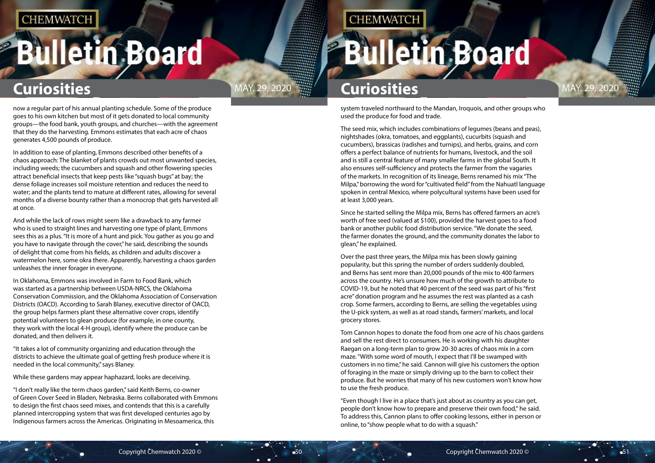# **Bulletin Board**



system traveled northward to the [Mandan](https://en.wikipedia.org/wiki/Mandan), [Iroquois](https://en.wikipedia.org/wiki/Iroquois), and other groups who used the produce for food and trade.

The seed mix, which includes combinations of legumes (beans and peas), nightshades (okra, tomatoes, and eggplants), cucurbits (squash and cucumbers), brassicas (radishes and turnips), and herbs, grains, and corn offers a perfect balance of nutrients for humans, livestock, and the soil and is still a central feature of many smaller farms in the global South. It also ensures self-sufficiency and protects the farmer from the vagaries of the markets. In recognition of its lineage, Berns renamed his mix "The Milpa," borrowing the word for "cultivated field" from the Nahuatl language spoken in central Mexico, where polycultural systems have been used for at least 3,000 years.

Since he started selling the Milpa mix, Berns has offered farmers an acre's worth of free seed (valued at \$100), provided the harvest goes to a food bank or another public food distribution service. "We donate the seed, the farmer donates the ground, and the community donates the labor to glean," he explained.

Over the past three years, the Milpa mix has been slowly gaining popularity, but this spring the number of orders suddenly doubled, and Berns has sent more than 20,000 pounds of the mix to 400 farmers across the country. He's unsure how much of the growth to attribute to COVID-19, but he noted that 40 percent of the seed was part of his "first acre" donation program and he assumes the rest was planted as a cash crop. Some farmers, according to Berns, are selling the vegetables using the U-pick system, as well as at road stands, farmers' markets, and local grocery stores.

Tom Cannon hopes to donate the food from one acre of his chaos gardens and sell the rest direct to consumers. He is working with his daughter Raegan on a long-term plan to grow 20-30 acres of chaos mix in a corn maze. "With some word of mouth, I expect that I'll be swamped with customers in no time," he said. Cannon will give his customers the option of foraging in the maze or simply driving up to the barn to collect their produce. But he worries that many of his new customers won't know how to use the fresh produce.

"Even though I live in a place that's just about as country as you can get, people don't know how to prepare and preserve their own food," he said. To address this, Cannon plans to offer cooking lessons, either in person or online, to "show people what to do with a squash."

now a regular part of his annual planting schedule. Some of the produce goes to his own kitchen but most of it gets donated to local community groups—the food bank, youth groups, and churches—with the agreement that they do the harvesting. Emmons estimates that each acre of chaos generates 4,500 pounds of produce.

In addition to ease of planting, Emmons described other benefits of a chaos approach: The blanket of plants crowds out most unwanted species, including weeds; the cucumbers and squash and other flowering species attract beneficial insects that keep pests like "squash bugs" at bay; the dense foliage increases soil moisture retention and reduces the need to water; and the plants tend to mature at different rates, allowing for several months of a diverse bounty rather than a monocrop that gets harvested all at once.

And while the lack of rows might seem like a drawback to any farmer who is used to straight lines and harvesting one type of plant, Emmons sees this as a plus. "It is more of a hunt and pick. You gather as you go and you have to navigate through the cover," he said, describing the sounds of delight that come from his fields, as children and adults discover a watermelon here, some okra there. Apparently, harvesting a chaos garden unleashes the inner forager in everyone.

In Oklahoma, Emmons was involved in Farm to Food Bank, which was started as a partnership between USDA-NRCS, the Oklahoma Conservation Commission, and the [Oklahoma Association of Conservation](https://www.okconservation.org/news/2018/6/20/farm-to-food-bank-a-fresh-approach-to-fighting-hunger)  [Districts](https://www.okconservation.org/news/2018/6/20/farm-to-food-bank-a-fresh-approach-to-fighting-hunger) (OACD). According to Sarah Blaney, executive director of OACD, the group helps farmers plant these alternative cover crops, identify potential volunteers to glean produce (for example, in one county, they work with the local 4-H group), identify where the produce can be donated, and then delivers it.

"It takes a lot of community organizing and education through the districts to achieve the ultimate goal of getting fresh produce where it is needed in the local community," says Blaney.

While these gardens may appear haphazard, looks are deceiving.

"I don't really like the term chaos garden," said Keith Berns, co-owner of [Green Cover Seed](https://www.greencoverseed.com/) in Bladen, Nebraska. Berns collaborated with Emmons to design the first chaos seed mixes, and contends that this is a carefully planned intercropping system that was [first developed](https://www.tandfonline.com/doi/full/10.1080/03066150903353876) centuries ago by Indigenous farmers across the Americas. Originating in [Mesoamerica,](https://en.wikipedia.org/wiki/Mesoamerica) this

## **CHEMWATCH**

# **Illetin Board**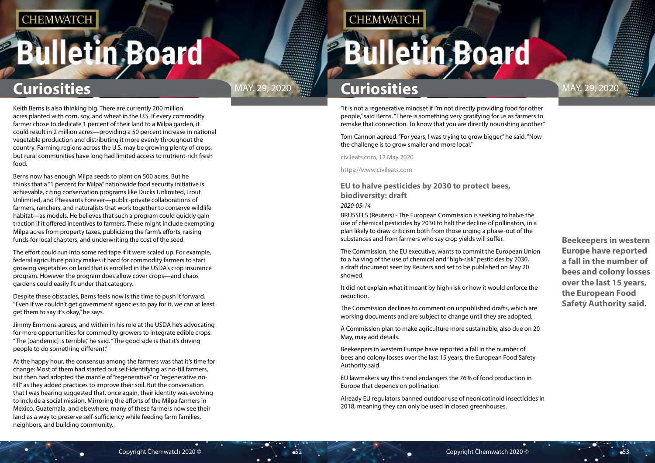# <span id="page-26-0"></span>**Bulletin Board**



**Beekeepers in western Europe have reported a fall in the number of bees and colony losses over the last 15 years, the European Food Safety Authority said.**

# **Curiosities Curiosities**

"It is not a regenerative mindset if I'm not directly providing food for other people," said Berns. "There is something very gratifying for us as farmers to remake that connection. To know that you are directly nourishing another."

Tom Cannon agreed. "For years, I was trying to grow bigger," he said. "Now the challenge is to grow smaller and more local."

civileats.com, 12 May 2020

https://www.civileats.com

### **EU to halve pesticides by 2030 to protect bees, biodiversity: draft**

#### *2020-05-14*

BRUSSELS (Reuters) - The European Commission is seeking to halve the use of chemical pesticides by 2030 to halt the decline of pollinators, in a plan likely to draw criticism both from those urging a phase-out of the substances and from farmers who say crop yields will suffer.

The Commission, the EU executive, wants to commit the European Union to a halving of the use of chemical and "high-risk" pesticides by 2030, a draft document seen by Reuters and set to be published on May 20 showed.

It did not explain what it meant by high-risk or how it would enforce the reduction.

The Commission declines to comment on unpublished drafts, which are working documents and are subject to change until they are adopted.

A Commission plan to make agriculture more sustainable, also due on 20 May, may add details.

Beekeepers in western Europe have reported a fall in the number of bees and colony losses over the last 15 years, the European Food Safety Authority said.

EU lawmakers say this trend endangers the 76% of food production in Europe that depends on pollination.

Already EU regulators banned outdoor use of neonicotinoid insecticides in 2018, meaning they can only be used in closed greenhouses.

Keith Berns is also thinking big. There are currently 200 million acres [planted](https://www.fb.org/market-intel/2020-prospective-plantings-corn-soars-soybeans-bounce-wheat-falls) with corn, soy, and wheat in the U.S. If every commodity farmer chose to dedicate 1 percent of their land to a Milpa garden, it could result in 2 million acres—providing a 50 percent increase in national vegetable production and distributing it more evenly throughout the country. Farming regions across the U.S. may be growing plenty of crops, but rural communities have long had [limited access](https://www.fresnobee.com/news/local/article235261127.html) to nutrient-rich fresh food.

Berns now has enough Milpa seeds to plant on 500 acres. But he thinks that a "1 percent for Milpa" nationwide food security initiative is achievable, citing conservation programs like [Ducks Unlimited](https://www.ducks.org/), [Trout](https://www.tu.org/)  [Unlimited](https://www.tu.org/), and [Pheasants Forever—](https://www.pheasantsforever.org/getdoc/5dee6cc7-d6ca-475c-aa05-6195cdcd1942/Unique-Model.aspx)public-private collaborations of farmers, ranchers, and naturalists that work together to conserve wildlife habitat—as models. He believes that such a program could quickly gain traction if it offered incentives to farmers. These might include exempting Milpa acres from property taxes, publicizing the farm's efforts, raising funds for local chapters, and underwriting the cost of the seed.

The effort could run into some red tape if it were scaled up. For example, federal agriculture policy makes it hard for commodity farmers to start growing vegetables on land that is enrolled in the [USDA's](https://www.fsa.usda.gov/programs-and-services/arcplc_program/index) crop insurance program. However the program does allow cover crops—and chaos gardens could easily fit under that category.

Despite these obstacles, Berns feels now is the time to push it forward. "Even if we couldn't get government agencies to pay for it, we can at least get them to say it's okay," he says.

Jimmy Emmons agrees, and within in his role at the USDA he's advocating for more opportunities for commodity growers to integrate edible crops. "The [pandemic] is terrible," he said. "The good side is that it's driving people to do something different."

At the happy hour, the consensus among the farmers was that it's time for change: Most of them had started out self-identifying as no-till farmers, but then had adopted the mantle of "regenerative" or "regenerative notill" as they added practices to improve their soil. But the conversation that I was hearing suggested that, once again, their identity was evolving to include a social mission. Mirroring the efforts of the Milpa farmers in Mexico, Guatemala, and elsewhere, many of these farmers now see their land as a way to preserve self-sufficiency while feeding farm families, neighbors, and building community.

## **CHEMWATCH**

# **Bulletin Board**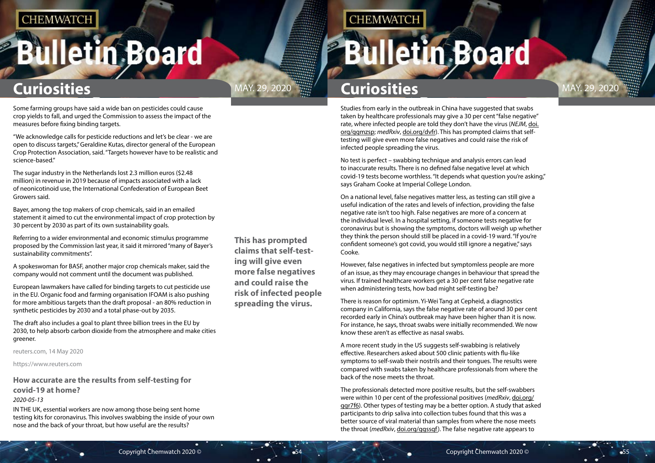# <span id="page-27-0"></span>**Bulletin Board**



### **This has prompted claims that self-testing will give even more false negatives and could raise the risk of infected people spreading the virus.**

**CHEMWATCH** 

# **Curiosities Curiosities**

Studies from early in the outbreak in China have suggested that swabs taken by healthcare professionals may give a 30 per cent "false negative" rate, where infected people are told they don't have the virus (*NEJM*, [doi.](http://dx.doi.org/ggmzsp) [org/ggmzsp;](http://dx.doi.org/ggmzsp) *medRxiv*, [doi.org/dvfr\)](http://dx.doi.org/dvfr). This has prompted claims that selftesting will give even more false negatives and could raise the risk of infected people spreading the virus.

No test is perfect – swabbing technique and analysis errors can lead to inaccurate results. There is no defined false negative level at which covid-19 tests become worthless. "It depends what question you're asking," says Graham Cooke at Imperial College London.

On a national level, false negatives matter less, as testing can still give a useful indication of the rates and levels of infection, providing the false negative rate isn't too high. False negatives are more of a concern at the individual level. In a hospital setting, if someone tests negative for coronavirus but is showing the symptoms, doctors will weigh up whether they think the person should still be placed in a covid-19 ward. "If you're confident someone's got covid, you would still ignore a negative," says Cooke.

However, false negatives in infected but symptomless people are more of an issue, as they may encourage changes in behaviour that spread the virus. If trained healthcare workers get a 30 per cent false negative rate when administering tests, how bad might self-testing be?

There is reason for optimism. Yi-Wei Tang at Cepheid, a diagnostics company in California, says the false negative rate of around 30 per cent recorded early in China's outbreak may have been higher than it is now. For instance, he says, throat swabs were initially recommended. We now know these aren't as effective as nasal swabs.

A more recent study in the US suggests self-swabbing is relatively effective. Researchers asked about 500 clinic patients with flu-like symptoms to self-swab their nostrils and their tongues. The results were compared with swabs taken by healthcare professionals from where the back of the nose meets the throat.

The professionals detected more positive results, but the self-swabbers were within 10 per cent of the professional positives (*medRxiv*, [doi.org/](http://dx.doi.org/ggr7f6) [ggr7f6](http://dx.doi.org/ggr7f6)). Other types of testing may be a better option. A study that asked participants to drip saliva into collection tubes found that this was a better source of viral material than samples from where the nose meets the throat (*medRxiv*, [doi.org/ggssqf\)](http://dx.doi.org/ggssqf). The false negative rate appears to

Some farming groups have said a wide ban on pesticides could cause crop yields to fall, and urged the Commission to assess the impact of the measures before fixing binding targets.

"We acknowledge calls for pesticide reductions and let's be clear - we are open to discuss targets," Geraldine Kutas, director general of the European Crop Protection Association, said. "Targets however have to be realistic and science-based."

The sugar industry in the Netherlands lost 2.3 million euros (\$2.48 million) in revenue in 2019 because of impacts associated with a lack of neonicotinoid use, the International Confederation of European Beet Growers said.

Bayer, among the top makers of crop chemicals, said in an emailed statement it aimed to cut the environmental impact of crop protection by 30 percent by 2030 as part of its own sustainability goals.

Referring to a wider environmental and economic stimulus programme proposed by the Commission last year, it said it mirrored "many of Bayer's sustainability commitments".

A spokeswoman for BASF, another major crop chemicals maker, said the company would not comment until the document was published.

European lawmakers have called for binding targets to cut pesticide use in the EU. Organic food and farming organisation IFOAM is also pushing for more ambitious targets than the draft proposal - an 80% reduction in synthetic pesticides by 2030 and a total phase-out by 2035.

The draft also includes a goal to plant three billion trees in the EU by 2030, to help absorb carbon dioxide from the atmosphere and make cities greener.

reuters.com, 14 May 2020

https://www.reuters.com

### **How accurate are the results from self-testing for covid-19 at home?**

#### *2020-05-13*

IN THE UK, essential workers are now among those being sent home testing kits for coronavirus. This involves swabbing the inside of your own nose and the back of your throat, but how useful are the results?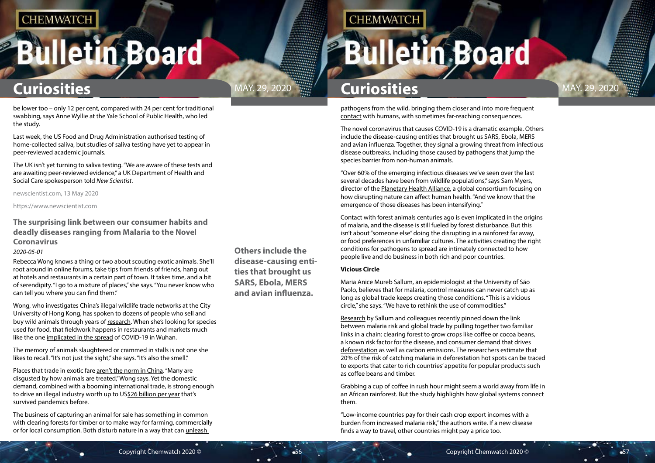# <span id="page-28-0"></span>**Bulletin Board**



**Others include the disease-causing entities that brought us SARS, Ebola, MERS and avian influenza.**

**CHEMWATCH** 

# **Curiosities Curiosities**

[pathogens](https://ensia.com/features/covid-19-coronavirus-biodiversity-planetary-health-zoonoses/) from the wild, bringing them [closer and into more frequent](https://royalsocietypublishing.org/doi/10.1098/rspb.2019.2736)  [contact](https://royalsocietypublishing.org/doi/10.1098/rspb.2019.2736) with humans, with sometimes far-reaching consequences.

The novel coronavirus that causes COVID-19 is a dramatic example. Others include the disease-causing entities that brought us SARS, Ebola, MERS and avian influenza. Together, they signal a growing threat from infectious disease outbreaks, including those caused by pathogens that jump the species barrier from non-human animals.

"Over 60% of the emerging infectious diseases we've seen over the last several decades have been from wildlife populations," says Sam Myers, director of the [Planetary Health Alliance,](https://www.planetaryhealthalliance.org/) a global consortium focusing on how disrupting nature can affect human health. "And we know that the emergence of those diseases has been intensifying."

[Research](https://www.nature.com/articles/s41467-020-14954-1) by Sallum and colleagues recently pinned down the link between malaria risk and global trade by pulling together two familiar links in a chain: clearing forest to grow crops like coffee or cocoa beans, a known risk factor for the disease, and consumer demand that [drives](https://phys.org/news/2014-10-global-consumption-increasingly-significant-driver.html)  [deforestation](https://phys.org/news/2014-10-global-consumption-increasingly-significant-driver.html) as well as carbon emissions. The researchers estimate that 20% of the risk of catching malaria in deforestation hot spots can be traced to exports that cater to rich countries' appetite for popular products such as coffee beans and timber.

Contact with forest animals centuries ago is even implicated in the origins of malaria, and the disease is still [fueled by forest disturbance.](https://www.nationalgeographic.com/science/2019/11/deforestation-leading-to-more-infectious-diseases-in-humans/) But this isn't about "someone else" doing the disrupting in a rainforest far away, or food preferences in unfamiliar cultures. The activities creating the right conditions for pathogens to spread are intimately connected to how people live and do business in both rich and poor countries.

#### **Vicious Circle**

Maria Anice Mureb Sallum, an epidemiologist at the University of São Paolo, believes that for malaria, control measures can never catch up as long as global trade keeps creating those conditions. "This is a vicious circle," she says. "We have to rethink the use of commodities."

The memory of animals slaughtered or crammed in stalls is not one she likes to recall. "It's not just the sight," she says. "It's also the smell."

> Grabbing a cup of coffee in rush hour might seem a world away from life in an African rainforest. But the study highlights how global systems connect them.

"Low-income countries pay for their cash crop export incomes with a burden from increased malaria risk," the authors write. If a new disease finds a way to travel, other countries might pay a price too.

be lower too – only 12 per cent, compared with 24 per cent for traditional swabbing, says Anne Wyllie at the Yale School of Public Health, who led the study.

Last week, the US Food and Drug Administration authorised testing of home-collected saliva, but studies of saliva testing have yet to appear in peer-reviewed academic journals.

The UK isn't yet turning to saliva testing. "We are aware of these tests and are awaiting peer-reviewed evidence," a UK Department of Health and Social Care spokesperson told *New Scientist*.

newscientist.com, 13 May 2020

https://www.newscientist.com

### **The surprising link between our consumer habits and deadly diseases ranging from Malaria to the Novel Coronavirus**

#### *2020-05-01*

Rebecca Wong knows a thing or two about scouting exotic animals. She'll root around in online forums, take tips from friends of friends, hang out at hotels and restaurants in a certain part of town. It takes time, and a bit of serendipity. "I go to a mixture of places," she says. "You never know who can tell you where you can find them."

Wong, who investigates China's illegal wildlife trade networks at the City University of Hong Kong, has spoken to dozens of people who sell and buy wild animals through years of [research.](http://www.cityu.edu.hk/stfprofile/wywon2.htm) When she's looking for species used for food, that fieldwork happens in restaurants and markets much like the one implicated in the spread of COVID-19 in Wuhan.

Places that trade in exotic fare [aren't the norm in China](https://news.cgtn.com/news/2020-02-09/Graphics-How-are-wild-animals-linked-to-an-epidemic--NUY0Dd6ehG/index.html). "Many are disgusted by how animals are treated," Wong says. Yet the domestic demand, combined with a booming international trade, is strong enough to drive an illegal industry worth up to US[\\$26 billion per year](https://www.wwf.sg/get_involved/illegal_wildlife_trade/) that's survived pandemics before.

The business of capturing an animal for sale has something in common with clearing forests for timber or to make way for farming, commercially or for local consumption. Both disturb nature in a way that can [unleash](https://ensia.com/features/covid-19-coronavirus-biodiversity-planetary-health-zoonoses/)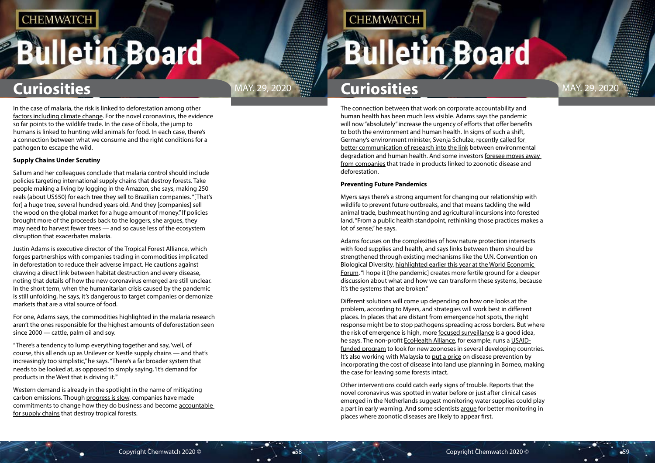# **Bulletin Board**

# **Curiosities** MAY. 29, 2020 **Curiosities** MAY. 29, 2020

The connection between that work on corporate accountability and human health has been much less visible. Adams says the pandemic will now "absolutely" increase the urgency of efforts that offer benefits to both the environment and human health. In signs of such a shift, Germany's environment minister, Svenja Schulze, [recently called for](https://www.bmu.de/en/pressrelease/minister-schulze-global-nature-conservation-can-reduce-risk-of-future-epidemics/)  [better communication of research into the link](https://www.bmu.de/en/pressrelease/minister-schulze-global-nature-conservation-can-reduce-risk-of-future-epidemics/) between environmental degradation and human health. And some investors [foresee moves away](https://www.bloomberg.com/news/articles/2020-04-01/preventing-disease-may-start-with-supply-chains-green-insight)  [from companies](https://www.bloomberg.com/news/articles/2020-04-01/preventing-disease-may-start-with-supply-chains-green-insight) that trade in products linked to zoonotic disease and deforestation.

#### **Preventing Future Pandemics**

Myers says there's a strong argument for changing our relationship with wildlife to prevent future outbreaks, and that means tackling the wild animal trade, bushmeat hunting and agricultural incursions into forested land. "From a public health standpoint, rethinking those practices makes a lot of sense," he says.

Adams focuses on the complexities of how nature protection intersects with food supplies and health, and says links between them should be strengthened through existing mechanisms like the U.N. Convention on Biological Diversity, [highlighted earlier this year at the World Economic](https://www.weforum.org/reports/nature-risk-rising-why-the-crisis-engulfing-nature-matters-for-business-and-the-economy)  [Forum.](https://www.weforum.org/reports/nature-risk-rising-why-the-crisis-engulfing-nature-matters-for-business-and-the-economy) "I hope it [the pandemic] creates more fertile ground for a deeper discussion about what and how we can transform these systems, because it's the systems that are broken."

Different solutions will come up depending on how one looks at the problem, according to Myers, and strategies will work best in different places. In places that are distant from emergence hot spots, the right response might be to stop pathogens spreading across borders. But where the risk of emergence is high, more [focused surveillance](https://www.ncbi.nlm.nih.gov/pmc/articles/PMC4507309/) is a good idea, he says. The non-profit [EcoHealth Alliance](https://www.ecohealthalliance.org/), for example, runs a [USAID](https://www.ecohealthalliance.org/program/predict)[funded program](https://www.ecohealthalliance.org/program/predict) to look for new zoonoses in several developing countries. It's also working with Malaysia to [put a price](https://www.ecohealthalliance.org/2019/09/putting-a-price-tag-on-deforestation) on disease prevention by incorporating the cost of disease into land use planning in Borneo, making the case for leaving some forests intact.

Other interventions could catch early signs of trouble. Reports that the novel coronavirus was spotted in water [before](https://www.bloomberg.com/news/articles/2020-03-31/coronavirus-in-sewage-portended-covid-19-outbreak-in-dutch-city) or [just after](https://www.nature.com/articles/d41586-020-00973-x) clinical cases emerged in the Netherlands suggest monitoring water supplies could play a part in early warning. And some scientists [argue](https://www.thelancet.com/journals/lanplh/article/PIIS2542-5196(20)30032-2/fulltext) for better monitoring in places where zoonotic diseases are likely to appear first.

In the case of malaria, the risk is linked to deforestation among [other](https://www.pnas.org/content/111/9/3286)  [factors including climate change.](https://www.pnas.org/content/111/9/3286) For the novel coronavirus, the evidence so far points to the wildlife trade. In the case of Ebola, the jump to humans is linked to [hunting wild animals for food.](https://www.washingtonpost.com/news/morning-mix/wp/2014/08/05/why-west-africans-keep-hunting-and-eating-bush-meat-despite-ebola-concerns/) In each case, there's a connection between what we consume and the right conditions for a pathogen to escape the wild.

#### **Supply Chains Under Scrutiny**

Sallum and her colleagues conclude that malaria control should include policies targeting international supply chains that destroy forests. Take people making a living by logging in the Amazon, she says, making 250 reals (about US\$50) for each tree they sell to Brazilian companies. "[That's for] a huge tree, several hundred years old. And they [companies] sell the wood on the global market for a huge amount of money." If policies brought more of the proceeds back to the loggers, she argues, they may need to harvest fewer trees — and so cause less of the ecosystem disruption that exacerbates malaria.

Justin Adams is executive director of the [Tropical Forest Alliance](https://www.tropicalforestalliance.org/), which forges partnerships with companies trading in commodities implicated in deforestation to reduce their adverse impact. He cautions against drawing a direct link between habitat destruction and every disease, noting that details of how the new coronavirus emerged are still unclear. In the short term, when the humanitarian crisis caused by the pandemic is still unfolding, he says, it's dangerous to target companies or demonize markets that are a vital source of food.

For one, Adams says, the commodities highlighted in the malaria research aren't the ones responsible for the highest amounts of deforestation seen since 2000 — cattle, palm oil and soy.

"There's a tendency to lump everything together and say, 'well, of course, this all ends up as Unilever or Nestle supply chains — and that's increasingly too simplistic," he says. "There's a far broader system that needs to be looked at, as opposed to simply saying, 'It's demand for products in the West that is driving it.'"

Western demand is already in the spotlight in the name of mitigating carbon emissions. Though [progress is slow](https://news.trust.org/item/20200212192459-snqu2/), companies have made commitments to change how they do business and become [accountable](https://www.theguardian.com/sustainable-business/2017/sep/29/companies-zero-deforestation-pledges-agriculture-palm-oil-environment)  [for supply chains](https://www.theguardian.com/sustainable-business/2017/sep/29/companies-zero-deforestation-pledges-agriculture-palm-oil-environment) that destroy tropical forests.

## **CHEMWATCH**

# **Bulletin Board**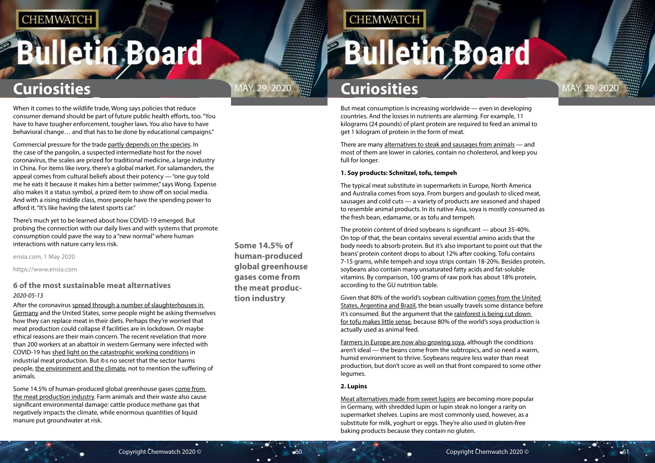# <span id="page-30-0"></span>**Bulletin Board**



**Some 14.5% of human-produced global greenhouse gases come from the meat production industry**

## **CHEMWATCH**

# **Bulletin Board**

# **Curiosities Curiosities**

But meat consumption is increasing worldwide — even in developing countries. And the losses in nutrients are alarming. For example, 11 kilograms (24 pounds) of plant protein are required to feed an animal to get 1 kilogram of protein in the form of meat.

There are many [alternatives to steak and sausages from animals](https://www.dw.com/en/vegan-meat-the-future-of-planet-saving-plant-based-eating/a-51054861) — and most of them are lower in calories, contain no cholesterol, and keep you full for longer.

#### **1. Soy products: Schnitzel, tofu, tempeh**

The typical meat substitute in supermarkets in Europe, North America and Australia comes from soya. From burgers and goulash to sliced meat, sausages and cold cuts — a variety of products are seasoned and shaped to resemble animal products. In its native Asia, soya is mostly consumed as the fresh bean, edamame, or as tofu and tempeh.

The protein content of dried soybeans is significant — about 35-40%. On top of that, the bean contains several essential amino acids that the body needs to absorb protein. But it's also important to point out that the beans' protein content drops to about 12% after cooking. Tofu contains 7-15 grams, while tempeh and soya strips contain 18-20%. Besides protein, soybeans also contain many unsaturated fatty acids and fat-soluble vitamins. By comparison, 100 grams of raw pork has about 18% protein, according to the GU nutrition table.

Given that 80% of the world's soybean cultivation [comes from the United](https://www.worldwildlife.org/industries/soy)  [States, Argentina and Brazil](https://www.worldwildlife.org/industries/soy), the bean usually travels some distance before it's consumed. But the argument that the rainforest is being cut down [for tofu makes little sense,](https://www.dw.com/en/protecting-paraguays-forests-from-cows-and-soy-farms/a-16700031) because 80% of the world's soya production is actually used as animal feed.

[Farmers in Europe are now also growing soya](https://www.dw.com/en/eu-reaps-healthy-yield-from-us-china-soybean-spat/a-44923688), although the conditions aren't ideal — the beans come from the subtropics, and so need a warm, humid environment to thrive. Soybeans require less water than meat production, but don't score as well on that front compared to some other legumes.

#### **2. Lupins**

[Meat alternatives made from sweet lupins](https://www.dw.com/en/6-of-the-most-sustainable-meat-alternatives/a-53425695?ct=t(RSS_EMAIL_CAMPAIGN)) are becoming more popular in Germany, with shredded lupin or lupin steak no longer a rarity on supermarket shelves. Lupins are most commonly used, however, as a substitute for milk, yoghurt or eggs. They're also used in gluten-free baking products because they contain no gluten.

When it comes to the wildlife trade, Wong says policies that reduce consumer demand should be part of future public health efforts, too. "You have to have tougher enforcement, tougher laws. You also have to have behavioral change… and that has to be done by educational campaigns."

Commercial pressure for the trade [partly depends on the species.](https://www.motherjones.com/food/2020/03/the-surprising-history-of-the-wildlife-trade-that-may-have-sparked-the-coronavirus/) In the case of the pangolin, a suspected intermediate host for the novel coronavirus, the scales are prized for traditional medicine, a large industry in China. For items like ivory, there's a global market. For salamanders, the appeal comes from cultural beliefs about their potency — "one guy told me he eats it because it makes him a better swimmer," says Wong. Expense also makes it a status symbol, a prized item to show off on social media. And with a rising middle class, more people have the spending power to afford it. "It's like having the latest sports car."

There's much yet to be learned about how COVID-19 emerged. But probing the connection with our daily lives and with systems that promote consumption could pave the way to a "new normal" where human interactions with nature carry less risk.

ensia.com, 1 May 2020

https://www.ensia.com

#### **6 of the most sustainable meat alternatives** *2020-05-13*

After the coronavirus [spread through a number of slaughterhouses in](https://www.dw.com/en/coronavirus-breaks-out-in-third-german-slaughterhouse/a-53389860)  [Germany](https://www.dw.com/en/coronavirus-breaks-out-in-third-german-slaughterhouse/a-53389860) and the United States, some people might be asking themselves how they can replace meat in their diets. Perhaps they're worried that meat production could collapse if facilities are in lockdown. Or maybe ethical reasons are their main concern. The recent revelation that more than 200 workers at an abattoir in western Germany were infected with COVID-19 has [shed light on the catastrophic working conditions](https://www.dw.com/en/coronavirus-modern-slavery-at-the-heart-of-german-slaughterhouse-outbreak/a-53396228) in industrial meat production. But it›s no secret that the sector harms people, [the environment and the climate,](https://www.dw.com/en/do-vegans-help-prevent-climate-change/a-49992593) not to mention the suffering of animals.

Some 14.5% of human-produced global greenhouse gases [come from](http://www.fao.org/ag/againfo/resources/en/publications/tackling_climate_change/index.htm)  [the meat production industry](http://www.fao.org/ag/againfo/resources/en/publications/tackling_climate_change/index.htm). Farm animals and their waste also cause significant environmental damage: cattle produce methane gas that negatively impacts the climate, while enormous quantities of liquid manure put groundwater at risk.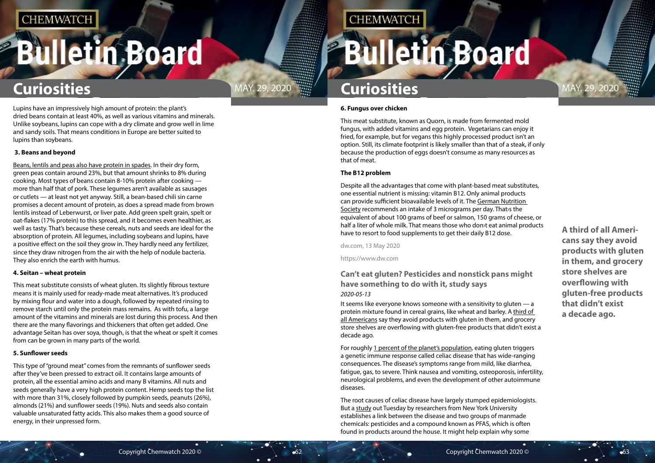# <span id="page-31-0"></span>**Bulletin Board**



### **A third of all Americans say they avoid products with gluten in them, and grocery store shelves are overflowing with gluten-free products that didn't exist a decade ago.**

# **Curiosities Curiosities**

#### **6. Fungus over chicken**

This meat substitute, known as Quorn, is made from fermented mold fungus, with added vitamins and egg protein. Vegetarians can enjoy it fried, for example, but for vegans this highly processed product isn't an option. Still, its climate footprint is likely smaller than that of a steak, if only because the production of eggs doesn't consume as many resources as that of meat.

#### **The B12 problem**

Despite all the advantages that come with plant-based meat substitutes, one essential nutrient is missing: vitamin B12. Only animal products can provide sufficient bioavailable levels of it. The [German Nutrition](https://www.dge.de/en/)  [Society](https://www.dge.de/en/) recommends an intake of 3 micrograms per day. That›s the equivalent of about 100 grams of beef or salmon, 150 grams of cheese, or half a liter of whole milk. That means those who don›t eat animal products have to resort to food supplements to get their daily B12 dose.

For roughly [1 percent of the planet's population,](https://www.ncbi.nlm.nih.gov/pmc/articles/PMC3264942/) eating gluten triggers a genetic immune response called celiac disease that has wide-ranging consequences. The disease's symptoms range from mild, like diarrhea, fatigue, gas, to severe. Think nausea and vomiting, osteoporosis, infertility, neurological problems, and even the development of other autoimmune diseases.

dw.com, 13 May 2020

https://www.dw.com

### **Can't eat gluten? Pesticides and nonstick pans might have something to do with it, study says** *2020-05-13*

It seems like everyone knows someone with a sensitivity to gluten — a protein mixture found in cereal grains, like wheat and barley. A third of [all Americans](https://www.healthline.com/nutrition/gluten-sensitivity-is-real) say they avoid products with gluten in them, and grocery store shelves are overflowing with gluten-free products that didn't exist a decade ago.

The root causes of celiac disease have largely stumped epidemiologists. But a [study](https://www.eurekalert.org/pub_releases/2020-05/nlh-cdl050620.php) out Tuesday by researchers from New York University establishes a link between the disease and two groups of manmade chemicals: pesticides and a compound known as PFAS, which is often found in products around the house. It might help explain why some

Lupins have an impressively high amount of protein: the plant's dried beans contain at least 40%, as well as various vitamins and minerals. Unlike soybeans, lupins can cope with a dry climate and grow well in lime and sandy soils. That means conditions in Europe are better suited to lupins than soybeans.

#### **3. Beans and beyond**

[Beans, lentils and peas also have protein in spades.](https://www.dw.com/en/can-pulses-conquer-palates-and-save-the-planet/a-19277439) In their dry form, green peas contain around 23%, but that amount shrinks to 8% during cooking. Most types of beans contain 8-10% protein after cooking more than half that of pork. These legumes aren't available as sausages or cutlets — at least not yet anyway. Still, a bean-based chili sin carne promises a decent amount of protein, as does a spread made from brown lentils instead of Leberwurst, or liver pate. Add green spelt grain, spelt or oat-flakes (17% protein) to this spread, and it becomes even healthier, as well as tasty. That's because these cereals, nuts and seeds are ideal for the absorption of protein. All legumes, including soybeans and lupins, have a positive effect on the soil they grow in. They hardly need any fertilizer, since they draw nitrogen from the air with the help of nodule bacteria. They also enrich the earth with humus.

#### **4. Seitan – wheat protein**

This meat substitute consists of wheat gluten. Its slightly fibrous texture means it is mainly used for ready-made meat alternatives. It's produced by mixing flour and water into a dough, followed by repeated rinsing to remove starch until only the protein mass remains. As with tofu, a large amount of the vitamins and minerals are lost during this process. And then there are the many flavorings and thickeners that often get added. One advantage Seitan has over soya, though, is that the wheat or spelt it comes from can be grown in many parts of the world.

#### **5. Sunflower seeds**

This type of "ground meat" comes from the remnants of sunflower seeds after they've been pressed to extract oil. It contains large amounts of protein, all the essential amino acids and many B vitamins. All nuts and seeds generally have a very high protein content. Hemp seeds top the list with more than 31%, closely followed by pumpkin seeds, peanuts (26%), almonds (21%) and sunflower seeds (19%). Nuts and seeds also contain valuable unsaturated fatty acids. This also makes them a good source of energy, in their unpressed form.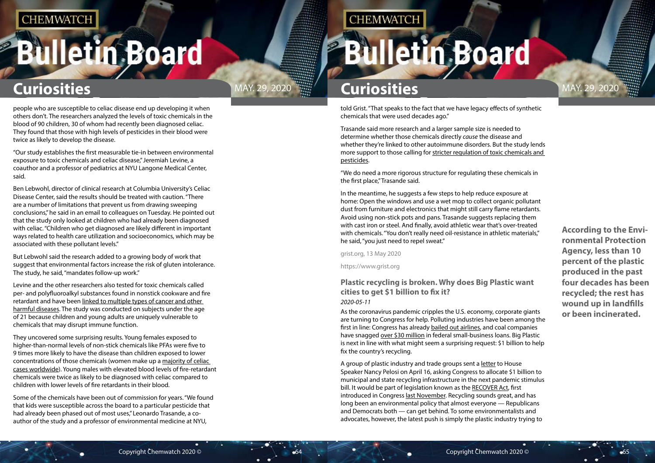# <span id="page-32-0"></span>**Bulletin Board**



**According to the Environmental Protection Agency, less than 10 percent of the plastic produced in the past four decades has been recycled; the rest has wound up in landfills or been incinerated.**

# **Curiosities Curiosities**

told Grist. "That speaks to the fact that we have legacy effects of synthetic chemicals that were used decades ago."

Trasande said more research and a larger sample size is needed to determine whether those chemicals directly *cause* the disease and whether they're linked to other autoimmune disorders. But the study lends more support to those calling for stricter regulation of toxic chemicals and [pesticides](https://grist.org/article/pfas-fda-chocolate-cake-chemical-food-safety/).

"We do need a more rigorous structure for regulating these chemicals in the first place," Trasande said.

In the meantime, he suggests a few steps to help reduce exposure at home: Open the windows and use a wet mop to collect organic pollutant dust from furniture and electronics that might still carry flame retardants. Avoid using non-stick pots and pans. Trasande suggests replacing them with cast iron or steel. And finally, avoid athletic wear that's over-treated with chemicals. "You don't really need oil-resistance in athletic materials," he said, "you just need to repel sweat."

grist.org, 13 May 2020

https://www.grist.org

### **Plastic recycling is broken. Why does Big Plastic want cities to get \$1 billion to fix it?**

#### *2020-05-11*

As the coronavirus pandemic cripples the U.S. economy, corporate giants are turning to Congress for help. Polluting industries have been among the first in line: Congress has already [bailed out airlines](https://www.nytimes.com/2020/04/14/business/coronavirus-airlines-bailout-treasury-department.html), and coal companies have snagged [over \\$30 million](https://www.washingtonpost.com/business/on-small-business/coal-snags-31-million-in-us-stimulus-loans-for-small-business/2020/05/05/a2921b98-8ee2-11ea-9322-a29e75effc93_story.html) in federal small-business loans. Big Plastic is next in line with what might seem a surprising request: \$1 billion to help fix the country's recycling.

A group of plastic industry and trade groups sent a [letter](https://www.documentcloud.org/documents/6877535-RECOVER-Coalition-Letter.html) to House Speaker Nancy Pelosi on April 16, asking Congress to allocate \$1 billion to municipal and state recycling infrastructure in the next pandemic stimulus bill. It would be part of legislation known as the [RECOVER Act,](https://www.congress.gov/bill/116th-congress/house-bill/5115/text?r=18&s=1) first introduced in Congress [last November.](https://www.politico.com/story/2019/06/06/the-big-government-solution-to-the-recycling-crisis-1356577) Recycling sounds great, and has long been an environmental policy that almost everyone — Republicans and Democrats both — can get behind. To some environmentalists and advocates, however, the latest push is simply the plastic industry trying to

people who are susceptible to celiac disease end up developing it when others don't. The researchers analyzed the levels of toxic chemicals in the blood of 90 children, 30 of whom had recently been diagnosed celiac. They found that those with high levels of pesticides in their blood were twice as likely to develop the disease.

"Our study establishes the first measurable tie-in between environmental exposure to toxic chemicals and celiac disease," Jeremiah Levine, a coauthor and a professor of pediatrics at NYU Langone Medical Center, said.

Ben Lebwohl, director of clinical research at Columbia University's Celiac Disease Center, said the results should be treated with caution. "There are a number of limitations that prevent us from drawing sweeping conclusions," he said in an email to colleagues on Tuesday. He pointed out that the study only looked at children who had already been diagnosed with celiac. "Children who get diagnosed are likely different in important ways related to health care utilization and socioeconomics, which may be associated with these pollutant levels."

But Lebwohl said the research added to a growing body of work that suggest that environmental factors increase the risk of gluten intolerance. The study, he said, "mandates follow-up work."

Levine and the other researchers also tested for toxic chemicals called per- and polyfluoroalkyl substances found in nonstick cookware and fire retardant and have been [linked to multiple types of cancer and other](https://www.nrdc.org/experts/anna-reade/epa-finds-replacements-toxic-teflon-chemicals-are-also)  [harmful diseases](https://www.nrdc.org/experts/anna-reade/epa-finds-replacements-toxic-teflon-chemicals-are-also). The study was conducted on subjects under the age of 21 because children and young adults are uniquely vulnerable to chemicals that may disrupt immune function.

They uncovered some surprising results. Young females exposed to higher-than-normal levels of non-stick chemicals like PFAs were five to 9 times more likely to have the disease than children exposed to lower concentrations of those chemicals (women make up a [majority of celiac](https://www.beyondceliac.org/living-with-celiac-disease/womens-health/prevalence/)  [cases worldwide\)](https://www.beyondceliac.org/living-with-celiac-disease/womens-health/prevalence/). Young males with elevated blood levels of fire-retardant chemicals were twice as likely to be diagnosed with celiac compared to children with lower levels of fire retardants in their blood.

Some of the chemicals have been out of commission for years. "We found that kids were susceptible across the board to a particular pesticide that had already been phased out of most uses," Leonardo Trasande, a coauthor of the study and a professor of environmental medicine at NYU,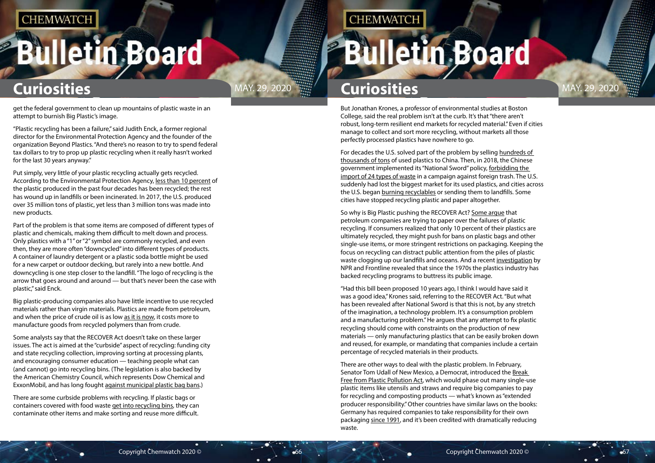# **Bulletin Board**



But Jonathan Krones, a professor of environmental studies at Boston College, said the real problem isn't at the curb. It's that "there aren't robust, long-term resilient end markets for recycled material." Even if cities manage to collect and sort more recycling, without markets all those perfectly processed plastics have nowhere to go.

For decades the U.S. solved part of the problem by selling hundreds of [thousands of tons](https://www.npr.org/sections/goatsandsoda/2019/03/13/702501726/where-will-your-plastic-trash-go-now-that-china-doesnt-want-it) of used plastics to China. Then, in 2018, the Chinese government implemented its "National Sword" policy, [forbidding the](https://www.nytimes.com/2018/01/11/world/china-recyclables-ban.html)  [import of 24 types of waste](https://www.nytimes.com/2018/01/11/world/china-recyclables-ban.html) in a campaign against foreign trash. The U.S. suddenly had lost the biggest market for its used plastics, and cities across the U.S. began [burning recyclables](https://www.nytimes.com/2019/03/16/business/local-recycling-costs.html) or sending them to landfills. Some cities have stopped recycling plastic and paper altogether.

So why is Big Plastic pushing the RECOVER Act? [Some argue](https://theintercept.com/2019/07/20/plastics-industry-plastic-recycling/) that petroleum companies are trying to paper over the failures of plastic recycling. If consumers realized that only 10 percent of their plastics are ultimately recycled, they might push for bans on plastic bags and other single-use items, or more stringent restrictions on packaging. Keeping the focus on recycling can distract public attention from the piles of plastic waste clogging up our landfills and oceans. And a recent [investigation](https://www.npr.org/2020/03/31/822597631/plastic-wars-three-takeaways-from-the-fight-over-the-future-of-plastics) by NPR and Frontline revealed that since the 1970s the plastics industry has backed recycling programs to buttress its public image.

"Had this bill been proposed 10 years ago, I think I would have said it was a good idea," Krones said, referring to the RECOVER Act. "But what has been revealed after National Sword is that this is not, by any stretch of the imagination, a technology problem. It's a consumption problem and a manufacturing problem." He argues that any attempt to fix plastic recycling should come with constraints on the production of new materials — only manufacturing plastics that can be easily broken down and reused, for example, or mandating that companies include a certain percentage of recycled materials in their products.

There are other ways to deal with the plastic problem. In February, Senator Tom Udall of New Mexico, a Democrat, introduced the [Break](https://www.congress.gov/bill/116th-congress/house-bill/5845)  [Free from Plastic Pollution Act](https://www.congress.gov/bill/116th-congress/house-bill/5845), which would phase out many single-use plastic items like utensils and straws and require big companies to pay for recycling and composting products — what's known as "extended producer responsibility." Other countries have similar laws on the books: Germany has required companies to take responsibility for their own packaging [since 1991,](https://www.vox.com/2016/2/13/10972986/recycling) and it's been credited with dramatically reducing waste.

get the federal government to clean up mountains of plastic waste in an attempt to burnish Big Plastic's image.

"Plastic recycling has been a failure," said Judith Enck, a former regional director for the Environmental Protection Agency and the founder of the organization Beyond Plastics. "And there's no reason to try to spend federal tax dollars to try to prop up plastic recycling when it really hasn't worked for the last 30 years anyway."

Put simply, very little of your plastic recycling actually gets recycled. According to the Environmental Protection Agency, [less than 10 percent](https://www.epa.gov/facts-and-figures-about-materials-waste-and-recycling/plastics-material-specific-data) of the plastic produced in the past four decades has been recycled; the rest has wound up in landfills or been incinerated. In 2017, the U.S. produced over 35 million tons of plastic, yet less than 3 million tons was made into new products.

Part of the problem is that some items are composed of different types of plastic and chemicals, making them difficult to melt down and process. Only plastics with a "1" or "2" symbol are commonly recycled, and even then, they are more often "downcycled" into different types of products. A container of laundry detergent or a plastic soda bottle might be used for a new carpet or outdoor decking, but rarely into a new bottle. And downcycling is one step closer to the landfill. "The logo of recycling is the arrow that goes around and around — but that's never been the case with plastic," said Enck.

Big plastic-producing companies also have little incentive to use recycled materials rather than virgin materials. Plastics are made from petroleum, and when the price of crude oil is as low [as it is now,](https://www.cnn.com/2020/04/28/investing/premarket-stocks-trading/index.html) it costs more to manufacture goods from recycled polymers than from crude.

Some analysts say that the RECOVER Act doesn't take on these larger issues. The act is aimed at the "curbside" aspect of recycling: funding city and state recycling collection, improving sorting at processing plants, and encouraging consumer education — teaching people what can (and cannot) go into recycling bins. (The legislation is also backed by the American Chemistry Council, which represents Dow Chemical and ExxonMobil, and has long fought [against municipal plastic bag bans.](https://www.nytimes.com/2010/06/03/science/earth/03bags.html))

There are some curbside problems with recycling. If plastic bags or containers covered with food waste [get into recycling bins](https://www.motherjones.com/environment/2019/08/recycling-wishcycling-china-plastics-zero-waste-bags-straws/), they can contaminate other items and make sorting and reuse more difficult.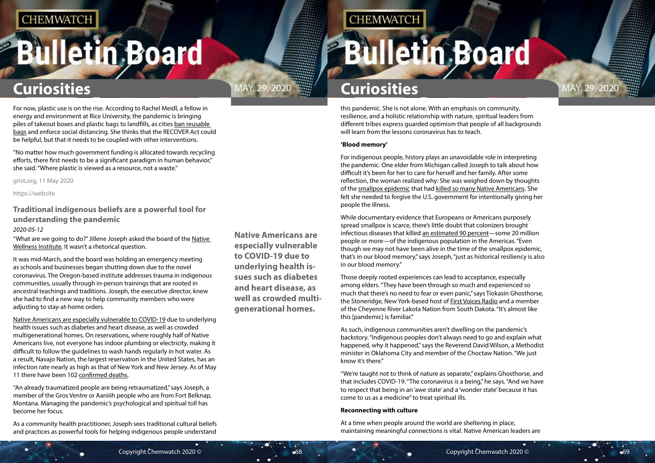# <span id="page-34-0"></span>**Bulletin Board**



### **Native Americans are especially vulnerable to COVID-19 due to underlying health issues such as diabetes and heart disease, as well as crowded multigenerational homes.**

**CHEMWATCH** 

# **Curiosities Curiosities**

this pandemic. She is not alone. With an emphasis on community, resilience, and a holistic relationship with nature, spiritual leaders from different tribes express guarded optimism that people of all backgrounds will learn from the lessons coronavirus has to teach.

#### **'Blood memory'**

For indigenous people, history plays an unavoidable role in interpreting the pandemic. One elder from Michigan called Joseph to talk about how difficult it's been for her to care for herself and her family. After some reflection, the woman realized why: She was weighed down by thoughts of the [smallpox epidemic](https://www.nationalgeographic.com/science/health-and-human-body/human-diseases/smallpox/) that had [killed so many Native Americans.](https://www.nationalgeographic.com/news/2011/12/111205-native-americans-europeans-population-dna-genetics-science/) She felt she needed to forgive the U.S. government for intentionally giving her people the illness.

While documentary evidence that Europeans or Americans purposely spread smallpox is scarce, there's little doubt that colonizers brought infectious diseases that killed [an estimated 90 percent](https://www.pri.org/stories/2019-01-31/european-colonization-americas-killed-10-percent-world-population-and-caused)—some 20 million people or more—of the indigenous population in the Americas. "Even though we may not have been alive in the time of the smallpox epidemic, that's in our blood memory," says Joseph, "just as historical resiliency is also in our blood memory."

Those deeply rooted experiences can lead to acceptance, especially among elders. "They have been through so much and experienced so much that there's no need to fear or even panic," says Tiokasin Ghosthorse, the Stoneridge, New York-based host of **First Voices Radio** and a member of the Cheyenne River Lakota Nation from South Dakota. "It's almost like this [pandemic] is familiar."

As such, indigenous communities aren't dwelling on the pandemic's backstory. "Indigenous peoples don't always need to go and explain what happened, why it happened," says the Reverend David Wilson, a Methodist minister in Oklahoma City and member of the Choctaw Nation. "We just know it's there."

"We're taught not to think of nature as separate," explains Ghosthorse, and that includes COVID-19. "The coronavirus is a being," he says. "And we have to respect that being in an 'awe state' and a 'wonder state' because it has come to us as a medicine" to treat spiritual ills.

#### **Reconnecting with culture**

At a time when people around the world are sheltering in place, maintaining meaningful connections is vital. Native American leaders are

For now, plastic use is on the rise. According to Rachel Meidl, a fellow in energy and environment at Rice University, the pandemic is bringing piles of takeout boxes and plastic bags to landfills, as cities [ban reusable](https://www.politico.com/states/new-jersey/story/2020/03/24/plastics-industry-goes-after-bag-bans-during-pandemic-1268843)  [bags](https://www.politico.com/states/new-jersey/story/2020/03/24/plastics-industry-goes-after-bag-bans-during-pandemic-1268843) and enforce social distancing. She thinks that the RECOVER Act could be helpful, but that it needs to be coupled with other interventions.

"No matter how much government funding is allocated towards recycling efforts, there first needs to be a significant paradigm in human behavior," she said. "Where plastic is viewed as a resource, not a waste."

grist.org, 11 May 2020

https://website

### **Traditional indigenous beliefs are a powerful tool for understanding the pandemic**

#### *2020-05-12*

"What are we going to do?" Jillene Joseph asked the board of the [Native](https://www.nativewellness.com/)  [Wellness Institute.](https://www.nativewellness.com/) It wasn't a rhetorical question.

It was mid-March, and the board was holding an emergency meeting as schools and businesses began shutting down due to the novel coronavirus. The Oregon-based institute addresses trauma in indigenous communities, usually through in-person trainings that are rooted in ancestral teachings and traditions. Joseph, the executive director, knew she had to find a new way to help community members who were adjusting to stay-at-home orders.

[Native Americans are especially vulnerable to COVID-19](https://www.vox.com/2020/3/25/21192669/coronavirus-native-americans-indians) due to underlying health issues such as diabetes and heart disease, as well as crowded multigenerational homes. On reservations, where roughly half of Native Americans live, not everyone has indoor plumbing or electricity, making it difficult to follow the guidelines to wash hands regularly in hot water. As a result, Navajo Nation, the largest reservation in the United States, has an infection rate nearly as high as that of New York and New Jersey. As of May 11 there have been 102 [confirmed deaths](https://www.ndoh.navajo-nsn.gov/COVID-19).

"An already traumatized people are being retraumatized," says Joseph, a member of the Gros Ventre or Aaniiih people who are from Fort Belknap, Montana. Managing the pandemic's psychological and spiritual toll has become her focus.

As a community health practitioner, Joseph sees traditional cultural beliefs and practices as powerful tools for helping indigenous people understand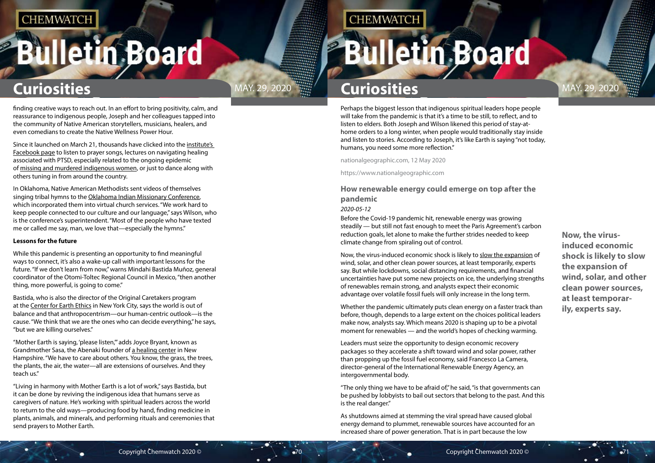# <span id="page-35-0"></span>**Bulletin Board**



**Now, the virusinduced economic shock is likely to slow the expansion of wind, solar, and other clean power sources, at least temporarily, experts say.**

# **Curiosities Curiosities**

Perhaps the biggest lesson that indigenous spiritual leaders hope people will take from the pandemic is that it's a time to be still, to reflect, and to listen to elders. Both Joseph and Wilson likened this period of stay-athome orders to a long winter, when people would traditionally stay inside and listen to stories. According to Joseph, it's like Earth is saying "not today, humans, you need some more reflection."

nationalgeographic.com, 12 May 2020

https://www.nationalgeographic.com

### **How renewable energy could emerge on top after the pandemic**

#### *2020-05-12*

Before the Covid-19 pandemic hit, renewable energy was growing steadily — but still not fast enough to meet the Paris Agreement's carbon reduction goals, let alone to make the further strides needed to keep climate change from spiraling out of control.

Now, the virus-induced economic shock is likely to [slow the expansion](https://www.iea.org/commentaries/the-coronavirus-pandemic-could-derail-renewable-energy-s-progress-governments-can-help) of wind, solar, and other clean power sources, at least temporarily, experts say. But while lockdowns, social distancing requirements, and financial uncertainties have put some new projects on ice, the underlying strengths of renewables remain strong, and analysts expect their economic advantage over volatile fossil fuels will only increase in the long term.

Whether the pandemic ultimately puts clean energy on a faster track than before, though, depends to a large extent on the choices political leaders make now, analysts say. Which means 2020 is shaping up to be a pivotal moment for renewables — and the world's hopes of checking warming.

Leaders must seize the opportunity to design economic recovery packages so they accelerate a shift toward wind and solar power, rather than propping up the fossil fuel economy, said Francesco La Camera, director-general of the International Renewable Energy Agency, an intergovernmental body.

"The only thing we have to be afraid of," he said, "is that governments can be pushed by lobbyists to bail out sectors that belong to the past. And this is the real danger."

As shutdowns aimed at stemming the viral spread have caused global energy demand to plummet, renewable sources have accounted for an increased share of power generation. That is in part because the low

finding creative ways to reach out. In an effort to bring positivity, calm, and reassurance to indigenous people, Joseph and her colleagues tapped into the community of Native American storytellers, musicians, healers, and even comedians to create the Native Wellness Power Hour.

Since it launched on March 21, thousands have clicked into the [institute's](https://www.facebook.com/NativeWellnessInstitute/)  [Facebook page](https://www.facebook.com/NativeWellnessInstitute/) to listen to prayer songs, lectures on navigating healing associated with PTSD, especially related to the ongoing epidemic of [missing and murdered indigenous women,](https://www.theguardian.com/us-news/2020/jan/13/a-well-of-grief-the-relatives-of-murdered-native-women-speak-out) or just to dance along with others tuning in from around the country.

In Oklahoma, Native American Methodists sent videos of themselves singing tribal hymns to the [Oklahoma Indian Missionary Conference,](http://www.umc-oimc.org/) which incorporated them into virtual church services. "We work hard to keep people connected to our culture and our language," says Wilson, who is the conference's superintendent. "Most of the people who have texted me or called me say, man, we love that—especially the hymns."

#### **Lessons for the future**

While this pandemic is presenting an opportunity to find meaningful ways to connect, it's also a wake-up call with important lessons for the future. "If we don't learn from now," warns Mindahi Bastida Muñoz, general coordinator of the Otomi-Toltec Regional Council in Mexico, "then another thing, more powerful, is going to come."

Bastida, who is also the director of the Original Caretakers program at the [Center for Earth Ethics](https://centerforearthethics.org/) in New York City, says the world is out of balance and that anthropocentrism—our human-centric outlook—is the cause. "We think that we are the ones who can decide everything," he says, "but we are killing ourselves."

"Mother Earth is saying, 'please listen,'" adds Joyce Bryant, known as Grandmother Sasa, the Abenaki founder of [a healing center](https://theroseandtheswan.com/) in New Hampshire. "We have to care about others. You know, the grass, the trees, the plants, the air, the water—all are extensions of ourselves. And they teach us."

"Living in harmony with Mother Earth is a lot of work," says Bastida, but it can be done by reviving the indigenous idea that humans serve as caregivers of nature. He's working with spiritual leaders across the world to return to the old ways—producing food by hand, finding medicine in plants, animals, and minerals, and performing rituals and ceremonies that send prayers to Mother Earth.

## **CHEMWATCH**

# **Bulletin Board**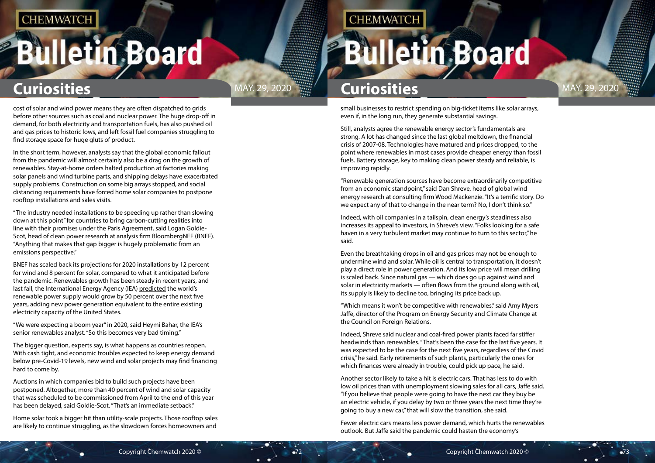# **Bulletin Board**



small businesses to restrict spending on big-ticket items like solar arrays, even if, in the long run, they generate substantial savings.

Still, analysts agree the renewable energy sector's fundamentals are strong. A lot has changed since the last global meltdown, the financial crisis of 2007-08. Technologies have matured and prices dropped, to the point where renewables in most cases provide cheaper energy than fossil fuels. Battery storage, key to making clean power steady and reliable, is improving rapidly.

"Renewable generation sources have become extraordinarily competitive from an economic standpoint," said Dan Shreve, head of global wind energy research at consulting firm Wood Mackenzie. "It's a terrific story. Do we expect any of that to change in the near term? No, I don't think so."

Indeed, with oil companies in a tailspin, clean energy's steadiness also increases its appeal to investors, in Shreve's view. "Folks looking for a safe haven in a very turbulent market may continue to turn to this sector," he said.

Even the breathtaking drops in oil and gas prices may not be enough to undermine wind and solar. While oil is central to transportation, it doesn't play a direct role in power generation. And its low price will mean drilling is scaled back. Since natural gas — which does go up against wind and solar in electricity markets — often flows from the ground along with oil, its supply is likely to decline too, bringing its price back up.

"Which means it won't be competitive with renewables," said Amy Myers Jaffe, director of the Program on Energy Security and Climate Change at the Council on Foreign Relations.

Indeed, Shreve said nuclear and coal-fired power plants faced far stiffer headwinds than renewables. "That's been the case for the last five years. It was expected to be the case for the next five years, regardless of the Covid crisis," he said. Early retirements of such plants, particularly the ones for which finances were already in trouble, could pick up pace, he said.

"We were expecting a [boom year](https://www.iea.org/reports/renewables-2019)" in 2020, said Heymi Bahar, the IEA's senior renewables analyst. "So this becomes very bad timing."

> Another sector likely to take a hit is electric cars. That has less to do with low oil prices than with unemployment slowing sales for all cars, Jaffe said. "If you believe that people were going to have the next car they buy be an electric vehicle, if you delay by two or three years the next time they're going to buy a new car," that will slow the transition, she said.

> Fewer electric cars means less power demand, which hurts the renewables outlook. But Jaffe said the pandemic could hasten the economy's

cost of solar and wind power means they are often dispatched to grids before other sources such as coal and nuclear power. The huge drop-off in demand, for both electricity and transportation fuels, has also pushed oil and gas prices to historic lows, and left fossil fuel companies struggling to find storage space for huge gluts of product.

In the short term, however, analysts say that the global economic fallout from the pandemic will almost certainly also be a drag on the growth of renewables. Stay-at-home orders halted production at factories making solar panels and wind turbine parts, and shipping delays have exacerbated supply problems. Construction on some big arrays stopped, and social distancing requirements have forced home solar companies to postpone rooftop installations and sales visits.

"The industry needed installations to be speeding up rather than slowing down at this point" for countries to bring carbon-cutting realities into line with their promises under the Paris Agreement, said Logan Goldie-Scot, head of clean power research at analysis firm BloombergNEF (BNEF). "Anything that makes that gap bigger is hugely problematic from an emissions perspective."

BNEF has scaled back its projections for 2020 installations by 12 percent for wind and 8 percent for solar, compared to what it anticipated before the pandemic. Renewables growth has been steady in recent years, and last fall, the International Energy Agency (IEA) [predicted](https://www.iea.org/reports/renewables-2019) the world's renewable power supply would grow by 50 percent over the next five years, adding new power generation equivalent to the entire existing electricity capacity of the United States.

The bigger question, experts say, is what happens as countries reopen. With cash tight, and economic troubles expected to keep energy demand below pre-Covid-19 levels, new wind and solar projects may find financing hard to come by.

Auctions in which companies bid to build such projects have been postponed. Altogether, more than 40 percent of wind and solar capacity that was scheduled to be commissioned from April to the end of this year has been delayed, said Goldie-Scot. "That's an immediate setback."

Home solar took a bigger hit than utility-scale projects. Those rooftop sales are likely to continue struggling, as the slowdown forces homeowners and

## **CHEMWATCH**

# **Illetin Board**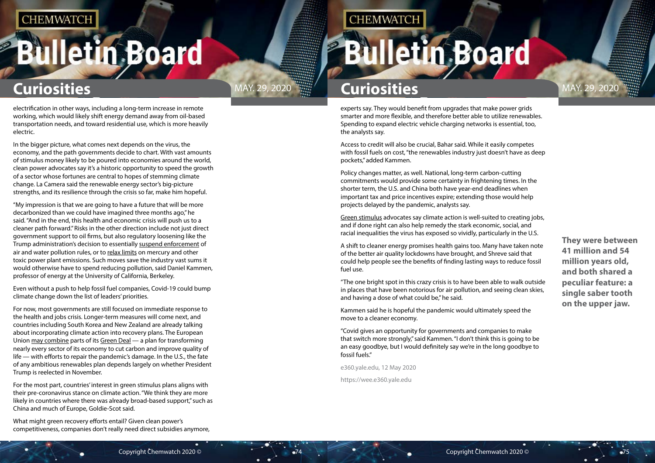# **Bulletin Board**



**They were between 41 million and 54 million years old, and both shared a peculiar feature: a single saber tooth on the upper jaw.**

# **Curiosities Curiosities**

experts say. They would benefit from upgrades that make power grids smarter and more flexible, and therefore better able to utilize renewables. Spending to expand electric vehicle charging networks is essential, too, the analysts say.

Access to credit will also be crucial, Bahar said. While it easily competes with fossil fuels on cost, "the renewables industry just doesn't have as deep pockets," added Kammen.

Policy changes matter, as well. National, long-term carbon-cutting commitments would provide some certainty in frightening times. In the shorter term, the U.S. and China both have year-end deadlines when important tax and price incentives expire; extending those would help projects delayed by the pandemic, analysts say.

[Green stimulus](https://www.theguardian.com/commentisfree/2020/apr/20/climate-crisis-will-deepen-the-pandemic-a-green-stimulus-plan-can-tackle-both) advocates say climate action is well-suited to creating jobs, and if done right can also help remedy the stark economic, social, and racial inequalities the virus has exposed so vividly, particularly in the U.S.

A shift to cleaner energy promises health gains too. Many have taken note of the better air quality lockdowns have brought, and Shreve said that could help people see the benefits of finding lasting ways to reduce fossil fuel use.

"The one bright spot in this crazy crisis is to have been able to walk outside in places that have been notorious for air pollution, and seeing clean skies, and having a dose of what could be," he said.

Kammen said he is hopeful the pandemic would ultimately speed the move to a cleaner economy.

"Covid gives an opportunity for governments and companies to make that switch more strongly," said Kammen. "I don't think this is going to be an easy goodbye, but I would definitely say we're in the long goodbye to fossil fuels."

e360.yale.edu, 12 May 2020

https://wee.e360.yale.edu

electrification in other ways, including a long-term increase in remote working, which would likely shift energy demand away from oil-based transportation needs, and toward residential use, which is more heavily electric.

In the bigger picture, what comes next depends on the virus, the economy, and the path governments decide to chart. With vast amounts of stimulus money likely to be poured into economies around the world, clean power advocates say it's a historic opportunity to speed the growth of a sector whose fortunes are central to hopes of stemming climate change. La Camera said the renewable energy sector's big-picture strengths, and its resilience through the crisis so far, make him hopeful.

"My impression is that we are going to have a future that will be more decarbonized than we could have imagined three months ago," he said. "And in the end, this health and economic crisis will push us to a cleaner path forward." Risks in the other direction include not just direct government support to oil firms, but also regulatory loosening like the Trump administration's decision to essentially [suspend enforcement](https://www.nytimes.com/2020/03/26/climate/epa-coronavirus-pollution-rules.html) of air and water pollution rules, or to [relax limits](https://www.washingtonpost.com/climate-environment/2020/04/16/epa-overhauls-mercury-pollution-rule-despite-opposition-industry-activists-alike/) on mercury and other toxic power plant emissions. Such moves save the industry vast sums it would otherwise have to spend reducing pollution, said Daniel Kammen, professor of energy at the University of California, Berkeley.

Even without a push to help fossil fuel companies, Covid-19 could bump climate change down the list of leaders' priorities.

For now, most governments are still focused on immediate response to the health and jobs crisis. Longer-term measures will come next, and countries including South Korea and New Zealand are already talking about incorporating climate action into recovery plans. The European Union [may combine](https://www.climatechangenews.com/2020/04/20/four-eu-nations-back-green-post-coronavirus-recovery/) parts of its [Green Deal](https://www.theguardian.com/world/2020/mar/09/what-is-the-european-green-deal-and-will-it-really-cost-1tn) — a plan for transforming nearly every sector of its economy to cut carbon and improve quality of life — with efforts to repair the pandemic's damage. In the U.S., the fate of any ambitious renewables plan depends largely on whether President Trump is reelected in November.

For the most part, countries' interest in green stimulus plans aligns with their pre-coronavirus stance on climate action. "We think they are more likely in countries where there was already broad-based support," such as China and much of Europe, Goldie-Scot said.

What might green recovery efforts entail? Given clean power's competitiveness, companies don't really need direct subsidies anymore,